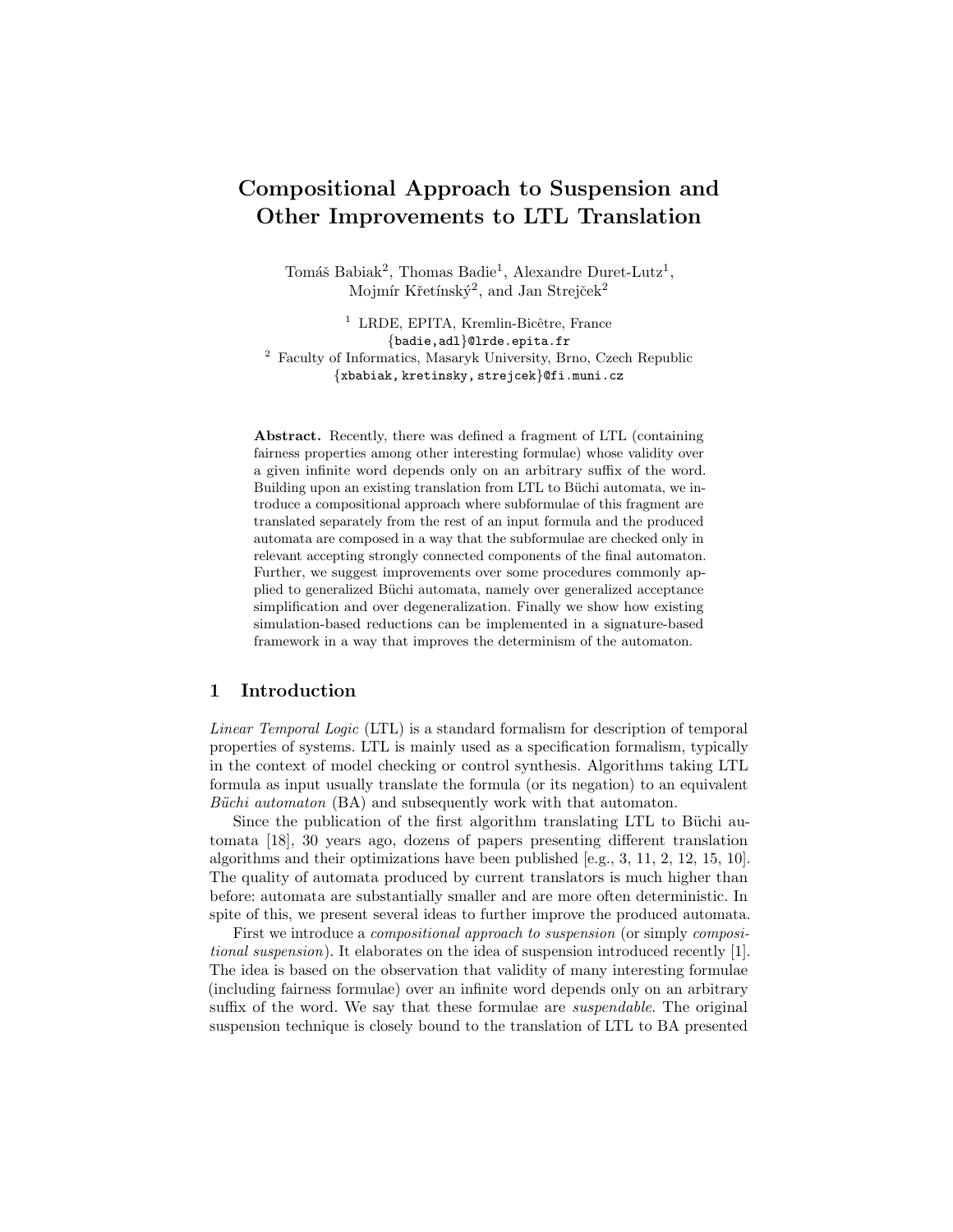# Compositional Approach to Suspension and Other Improvements to LTL Translation

Tomáš Babiak<sup>2</sup>, Thomas Badie<sup>1</sup>, Alexandre Duret-Lutz<sup>1</sup>, Mojmír Křetínský<sup>2</sup>, and Jan Strejček<sup>2</sup>

<sup>1</sup> LRDE, EPITA, Kremlin-Bicêtre, France {badie,adl}@lrde.epita.fr <sup>2</sup> Faculty of Informatics, Masaryk University, Brno, Czech Republic {xbabiak, kretinsky, strejcek}@fi.muni.cz

Abstract. Recently, there was defined a fragment of LTL (containing fairness properties among other interesting formulae) whose validity over a given infinite word depends only on an arbitrary suffix of the word. Building upon an existing translation from LTL to Büchi automata, we introduce a compositional approach where subformulae of this fragment are translated separately from the rest of an input formula and the produced automata are composed in a way that the subformulae are checked only in relevant accepting strongly connected components of the final automaton. Further, we suggest improvements over some procedures commonly applied to generalized Büchi automata, namely over generalized acceptance simplification and over degeneralization. Finally we show how existing simulation-based reductions can be implemented in a signature-based framework in a way that improves the determinism of the automaton.

# 1 Introduction

Linear Temporal Logic (LTL) is a standard formalism for description of temporal properties of systems. LTL is mainly used as a specification formalism, typically in the context of model checking or control synthesis. Algorithms taking LTL formula as input usually translate the formula (or its negation) to an equivalent Büchi automaton (BA) and subsequently work with that automaton.

Since the publication of the first algorithm translating LTL to Büchi automata [18], 30 years ago, dozens of papers presenting different translation algorithms and their optimizations have been published [e.g., 3, 11, 2, 12, 15, 10]. The quality of automata produced by current translators is much higher than before: automata are substantially smaller and are more often deterministic. In spite of this, we present several ideas to further improve the produced automata.

First we introduce a compositional approach to suspension (or simply compositional suspension). It elaborates on the idea of suspension introduced recently [1]. The idea is based on the observation that validity of many interesting formulae (including fairness formulae) over an infinite word depends only on an arbitrary suffix of the word. We say that these formulae are *suspendable*. The original suspension technique is closely bound to the translation of LTL to BA presented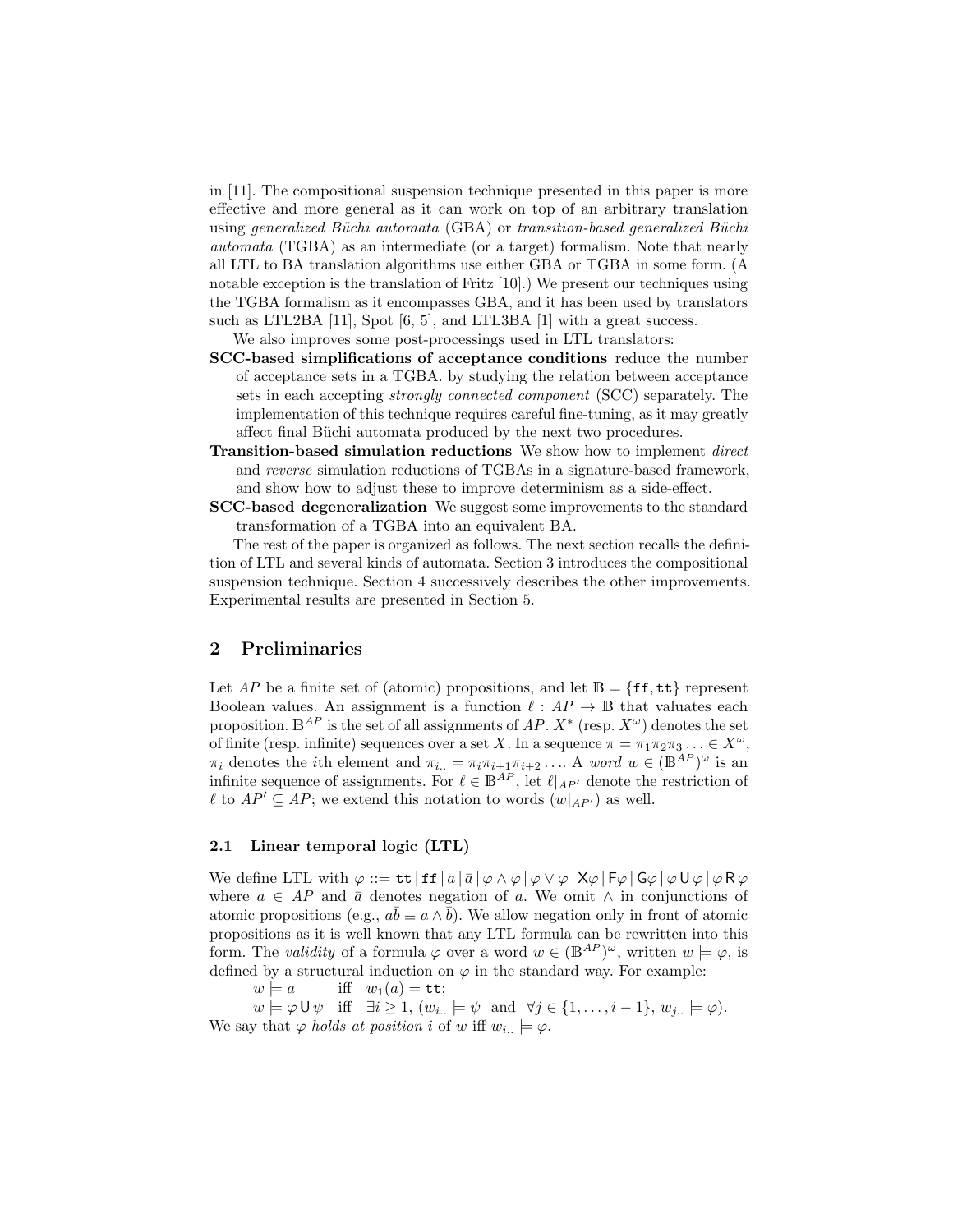in [11]. The compositional suspension technique presented in this paper is more effective and more general as it can work on top of an arbitrary translation using generalized Büchi automata  $(GBA)$  or transition-based generalized Büchi automata (TGBA) as an intermediate (or a target) formalism. Note that nearly all LTL to BA translation algorithms use either GBA or TGBA in some form. (A notable exception is the translation of Fritz [10].) We present our techniques using the TGBA formalism as it encompasses GBA, and it has been used by translators such as LTL2BA [11], Spot [6, 5], and LTL3BA [1] with a great success.

We also improves some post-processings used in LTL translators:

- SCC-based simplifications of acceptance conditions reduce the number of acceptance sets in a TGBA. by studying the relation between acceptance sets in each accepting strongly connected component (SCC) separately. The implementation of this technique requires careful fine-tuning, as it may greatly affect final Büchi automata produced by the next two procedures.
- Transition-based simulation reductions We show how to implement *direct* and reverse simulation reductions of TGBAs in a signature-based framework, and show how to adjust these to improve determinism as a side-effect.
- SCC-based degeneralization We suggest some improvements to the standard transformation of a TGBA into an equivalent BA.

The rest of the paper is organized as follows. The next section recalls the definition of LTL and several kinds of automata. Section 3 introduces the compositional suspension technique. Section 4 successively describes the other improvements. Experimental results are presented in Section 5.

# 2 Preliminaries

Let AP be a finite set of (atomic) propositions, and let  $\mathbb{B} = \{ \texttt{ff}, \texttt{tt} \}$  represent Boolean values. An assignment is a function  $\ell : AP \to \mathbb{B}$  that valuates each proposition.  $\mathbb{B}^{AP}$  is the set of all assignments of  $AP$ .  $X^*$  (resp.  $X^{\omega}$ ) denotes the set of finite (resp. infinite) sequences over a set X. In a sequence  $\pi = \pi_1 \pi_2 \pi_3 \ldots \in X^{\omega}$ ,  $\pi_i$  denotes the *i*th element and  $\pi_{i..} = \pi_i \pi_{i+1} \pi_{i+2} \dots$  A word  $w \in (\mathbb{B}^{AP})^{\omega}$  is an infinite sequence of assignments. For  $\ell \in \mathbb{B}^{AP}$ , let  $\ell|_{AP'}$  denote the restriction of  $\ell$  to  $AP' \subseteq AP$ ; we extend this notation to words  $(w|_{AP'})$  as well.

### 2.1 Linear temporal logic (LTL)

We define LTL with  $\varphi ::= \mathsf{tt} | \mathsf{ff} | a | \bar{a} | \varphi \wedge \varphi | \varphi \vee \varphi | X \varphi | F \varphi | G \varphi | \varphi \mathsf{U} \varphi | \varphi R \varphi$ where  $a \in AP$  and  $\bar{a}$  denotes negation of a. We omit  $\land$  in conjunctions of atomic propositions (e.g.,  $a\overline{b} \equiv a \wedge \overline{b}$ ). We allow negation only in front of atomic propositions as it is well known that any LTL formula can be rewritten into this form. The validity of a formula  $\varphi$  over a word  $w \in (\mathbb{B}^{AP})^{\omega}$ , written  $w \models \varphi$ , is defined by a structural induction on  $\varphi$  in the standard way. For example:

 $w \models a$  iff  $w_1(a) = \mathtt{tt};$ 

 $w \models \varphi \cup \psi \text{ iff } \exists i \geq 1, (w_{i..} \models \psi \text{ and } \forall j \in \{1, \ldots, i-1\}, w_{j..} \models \varphi).$ We say that  $\varphi$  holds at position i of w iff  $w_{i..} \models \varphi$ .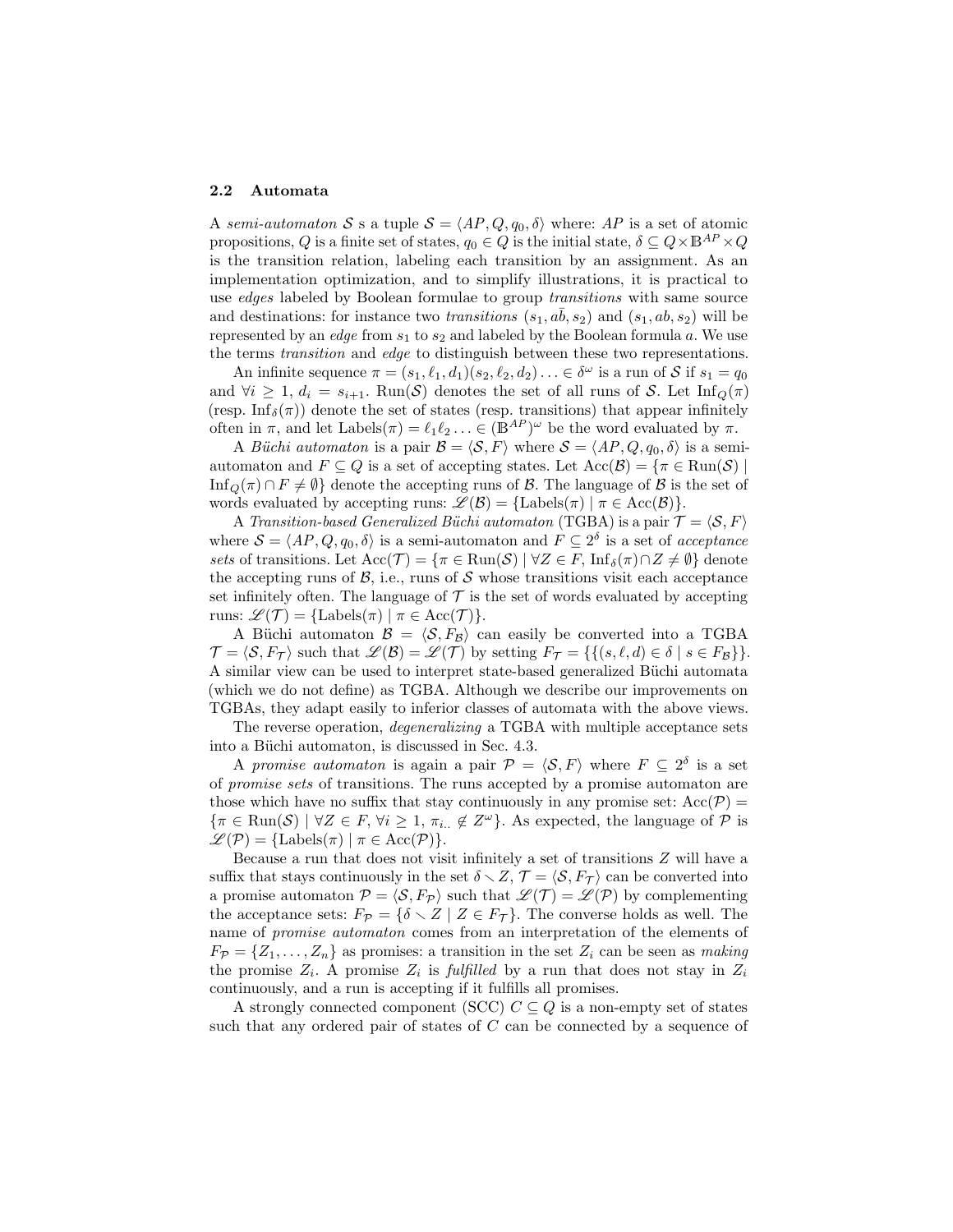#### 2.2 Automata

A semi-automaton S s a tuple  $S = \langle AP, Q, q_0, \delta \rangle$  where: AP is a set of atomic propositions, Q is a finite set of states,  $q_0 \in Q$  is the initial state,  $\delta \subseteq Q \times \mathbb{B}^{AP} \times Q$ is the transition relation, labeling each transition by an assignment. As an implementation optimization, and to simplify illustrations, it is practical to use *edges* labeled by Boolean formulae to group *transitions* with same source and destinations: for instance two *transitions*  $(s_1, a\bar{b}, s_2)$  and  $(s_1, ab, s_2)$  will be represented by an *edge* from  $s_1$  to  $s_2$  and labeled by the Boolean formula a. We use the terms transition and edge to distinguish between these two representations.

An infinite sequence  $\pi = (s_1, \ell_1, d_1)(s_2, \ell_2, d_2) \ldots \in \delta^\omega$  is a run of S if  $s_1 = q_0$ and  $\forall i \geq 1, d_i = s_{i+1}$ . Run(S) denotes the set of all runs of S. Let  $\text{Inf}_{Q}(\pi)$ (resp. Inf<sub>δ</sub>( $\pi$ )) denote the set of states (resp. transitions) that appear infinitely often in  $\pi$ , and let Labels $(\pi) = \ell_1 \ell_2 ... \in (B^{AP})^{\omega}$  be the word evaluated by  $\pi$ .

A Büchi automaton is a pair  $\mathcal{B} = \langle \mathcal{S}, F \rangle$  where  $\mathcal{S} = \langle AP, Q, q_0, \delta \rangle$  is a semiautomaton and  $F \subseteq Q$  is a set of accepting states. Let  $Acc(\mathcal{B}) = \{ \pi \in \text{Run}(\mathcal{S}) \mid \pi \in \text{Run}(\mathcal{S}) \}$ Inf<sub>Q</sub>( $\pi$ ) ∩ F  $\neq$   $\emptyset$ } denote the accepting runs of B. The language of B is the set of words evaluated by accepting runs:  $\mathscr{L}(\mathcal{B}) = {\text{Labels}(\pi) \mid \pi \in \text{Acc}(\mathcal{B})}.$ 

A Transition-based Generalized Büchi automaton (TGBA) is a pair  $\mathcal{T} = \langle \mathcal{S}, F \rangle$ where  $S = \langle AP, Q, q_0, \delta \rangle$  is a semi-automaton and  $F \subseteq 2^{\delta}$  is a set of acceptance sets of transitions. Let  $Acc(\mathcal{T}) = {\pi \in Run(\mathcal{S}) \mid \forall Z \in F, \, Inf_{\delta}(\pi) \cap Z \neq \emptyset}$  denote the accepting runs of  $\mathcal{B}$ , i.e., runs of  $\mathcal{S}$  whose transitions visit each acceptance set infinitely often. The language of  $\mathcal T$  is the set of words evaluated by accepting runs:  $\mathscr{L}(\mathcal{T}) = {\text{Labels}(\pi) \mid \pi \in \text{Acc}(\mathcal{T})}.$ 

A Büchi automaton  $\mathcal{B} = \langle \mathcal{S}, F_{\mathcal{B}} \rangle$  can easily be converted into a TGBA  $\mathcal{T} = \langle \mathcal{S}, F_{\mathcal{T}} \rangle$  such that  $\mathcal{L}(\mathcal{B}) = \mathcal{L}(\mathcal{T})$  by setting  $F_{\mathcal{T}} = \{ \{ (s, \ell, d) \in \delta \mid s \in F_{\mathcal{B}} \} \}.$ A similar view can be used to interpret state-based generalized Büchi automata (which we do not define) as TGBA. Although we describe our improvements on TGBAs, they adapt easily to inferior classes of automata with the above views.

The reverse operation, degeneralizing a TGBA with multiple acceptance sets into a Büchi automaton, is discussed in Sec. 4.3.

A promise automaton is again a pair  $\mathcal{P} = \langle \mathcal{S}, F \rangle$  where  $F \subseteq 2^{\delta}$  is a set of promise sets of transitions. The runs accepted by a promise automaton are those which have no suffix that stay continuously in any promise set:  $Acc(\mathcal{P}) =$  $\{\pi \in \text{Run}(\mathcal{S}) \mid \forall Z \in F, \forall i \geq 1, \pi_{i..} \notin Z^{\omega}\}.$  As expected, the language of  $\mathcal{P}$  is  $\mathscr{L}(\mathcal{P}) = {\text{Labels}(\pi) \mid \pi \in \text{Acc}(\mathcal{P})}.$ 

Because a run that does not visit infinitely a set of transitions Z will have a suffix that stays continuously in the set  $\delta \setminus Z$ ,  $\mathcal{T} = \langle \mathcal{S}, F_{\mathcal{T}} \rangle$  can be converted into a promise automaton  $\mathcal{P} = \langle \mathcal{S}, F_{\mathcal{P}} \rangle$  such that  $\mathcal{L}(\mathcal{T}) = \mathcal{L}(\mathcal{P})$  by complementing the acceptance sets:  $F_{\mathcal{P}} = {\delta \times Z | Z \in F_{\mathcal{T}}}$ . The converse holds as well. The name of promise automaton comes from an interpretation of the elements of  $F_{\mathcal{P}} = \{Z_1, \ldots, Z_n\}$  as promises: a transition in the set  $Z_i$  can be seen as making the promise  $Z_i$ . A promise  $Z_i$  is fulfilled by a run that does not stay in  $Z_i$ continuously, and a run is accepting if it fulfills all promises.

A strongly connected component (SCC)  $C \subseteq Q$  is a non-empty set of states such that any ordered pair of states of  $C$  can be connected by a sequence of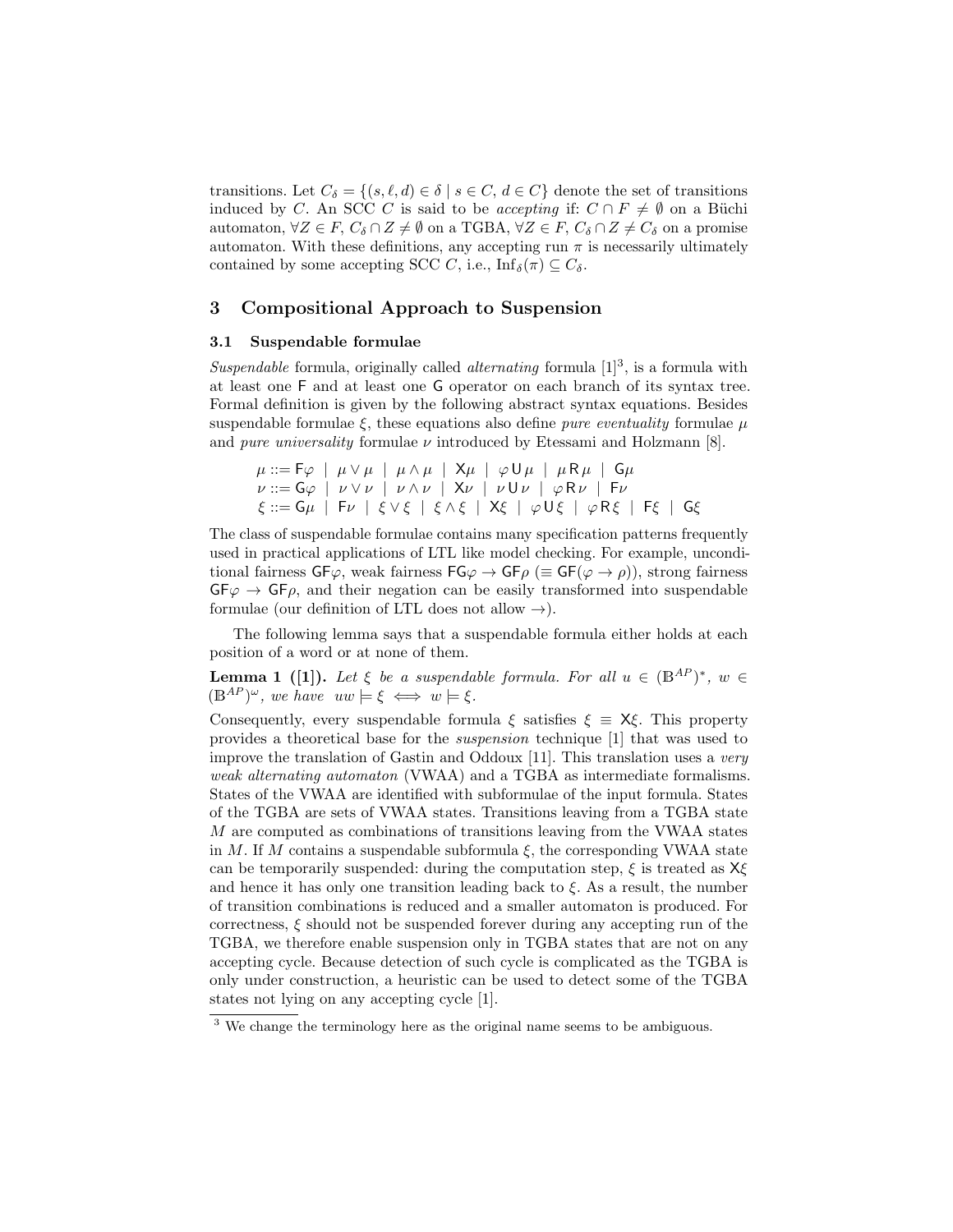transitions. Let  $C_{\delta} = \{(s, \ell, d) \in \delta \mid s \in C, d \in C\}$  denote the set of transitions induced by C. An SCC C is said to be *accepting* if:  $C \cap F \neq \emptyset$  on a Büchi automaton,  $\forall Z \in F$ ,  $C_{\delta} \cap Z \neq \emptyset$  on a TGBA,  $\forall Z \in F$ ,  $C_{\delta} \cap Z \neq C_{\delta}$  on a promise automaton. With these definitions, any accepting run  $\pi$  is necessarily ultimately contained by some accepting SCC C, i.e.,  $\text{Inf}_{\delta}(\pi) \subseteq C_{\delta}$ .

# 3 Compositional Approach to Suspension

## 3.1 Suspendable formulae

Suspendable formula, originally called *alternating* formula  $[1]^3$ , is a formula with at least one F and at least one G operator on each branch of its syntax tree. Formal definition is given by the following abstract syntax equations. Besides suspendable formulae  $\xi$ , these equations also define *pure eventuality* formulae  $\mu$ and pure universality formulae  $\nu$  introduced by Etessami and Holzmann [8].

$$
\mu ::= F\varphi \mid \mu \vee \mu \mid \mu \wedge \mu \mid \mathsf{X}\mu \mid \varphi \mathsf{U}\mu \mid \mu \mathsf{R}\mu \mid \mathsf{G}\mu
$$
\n
$$
\nu ::= G\varphi \mid \nu \vee \nu \mid \nu \wedge \nu \mid \mathsf{X}\nu \mid \nu \mathsf{U}\nu \mid \varphi \mathsf{R}\nu \mid F\nu
$$
\n
$$
\xi ::= G\mu \mid F\nu \mid \xi \vee \xi \mid \xi \wedge \xi \mid \mathsf{X}\xi \mid \varphi \mathsf{U}\xi \mid \varphi \mathsf{R}\xi \mid F\xi \mid G\xi
$$

The class of suspendable formulae contains many specification patterns frequently used in practical applications of LTL like model checking. For example, unconditional fairness  $GF\varphi$ , weak fairness  $FG\varphi \rightarrow GF\rho \ (\equiv GF(\varphi \rightarrow \rho))$ , strong fairness  $GF\varphi \rightarrow GF\rho$ , and their negation can be easily transformed into suspendable formulae (our definition of LTL does not allow  $\rightarrow$ ).

The following lemma says that a suspendable formula either holds at each position of a word or at none of them.

**Lemma 1** ([1]). Let  $\xi$  be a suspendable formula. For all  $u \in (B^{AP})^*$ ,  $w \in$  $(\mathbb{B}^{AP})^{\omega}$ , we have  $uw \models \xi \iff w \models \xi$ .

Consequently, every suspendable formula  $\xi$  satisfies  $\xi \equiv X \xi$ . This property provides a theoretical base for the suspension technique [1] that was used to improve the translation of Gastin and Oddoux [11]. This translation uses a very weak alternating automaton (VWAA) and a TGBA as intermediate formalisms. States of the VWAA are identified with subformulae of the input formula. States of the TGBA are sets of VWAA states. Transitions leaving from a TGBA state M are computed as combinations of transitions leaving from the VWAA states in M. If M contains a suspendable subformula  $\xi$ , the corresponding VWAA state can be temporarily suspended: during the computation step,  $\xi$  is treated as  $X\xi$ and hence it has only one transition leading back to  $\xi$ . As a result, the number of transition combinations is reduced and a smaller automaton is produced. For correctness,  $\xi$  should not be suspended forever during any accepting run of the TGBA, we therefore enable suspension only in TGBA states that are not on any accepting cycle. Because detection of such cycle is complicated as the TGBA is only under construction, a heuristic can be used to detect some of the TGBA states not lying on any accepting cycle [1].

<sup>&</sup>lt;sup>3</sup> We change the terminology here as the original name seems to be ambiguous.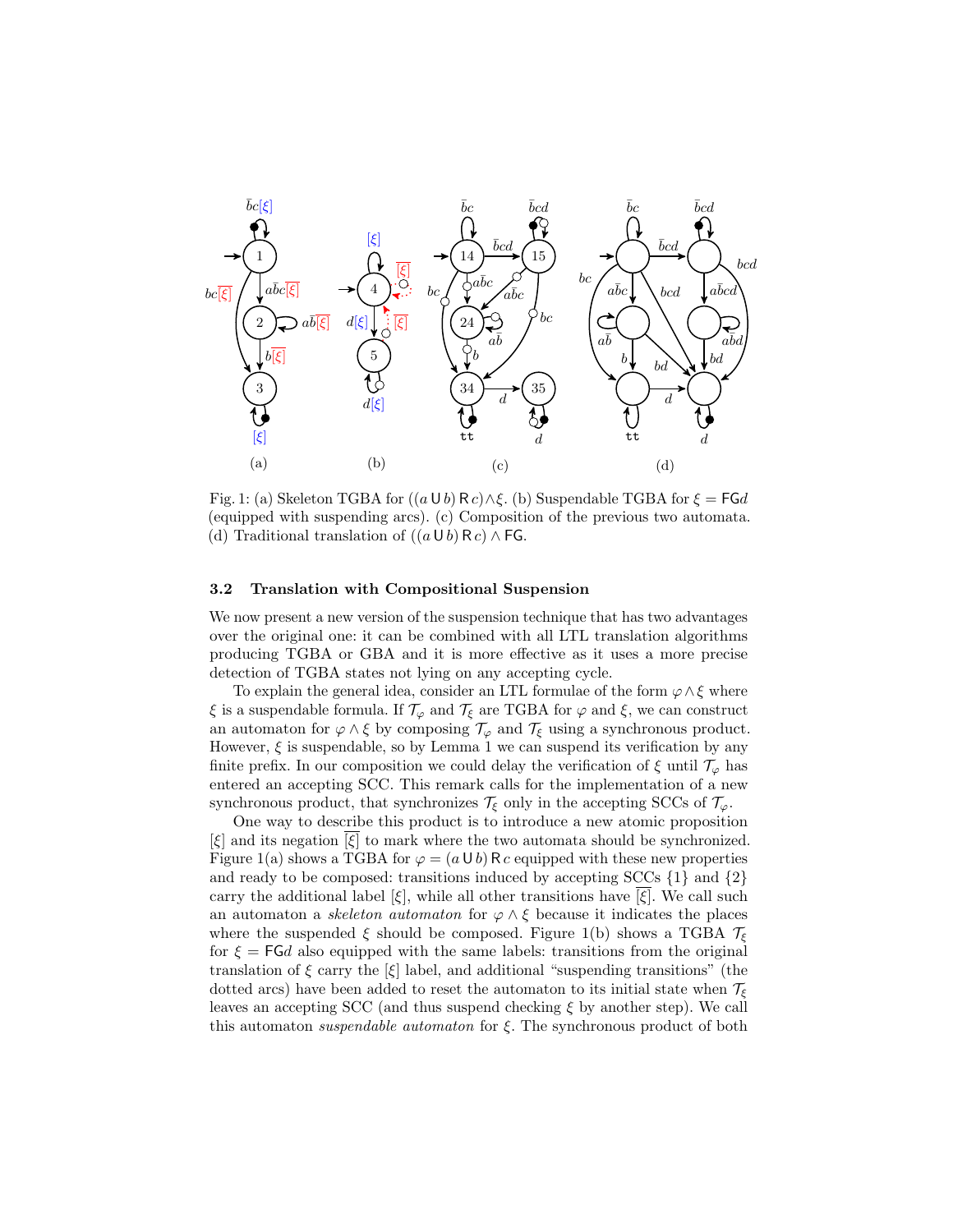

Fig. 1: (a) Skeleton TGBA for  $((a \cup b) \mathsf{R} c) \wedge \xi$ . (b) Suspendable TGBA for  $\xi = \mathsf{FG} d$ (equipped with suspending arcs). (c) Composition of the previous two automata. (d) Traditional translation of  $((a \cup b) \mathsf{R} c) \wedge \mathsf{F} G$ .

## 3.2 Translation with Compositional Suspension

We now present a new version of the suspension technique that has two advantages over the original one: it can be combined with all LTL translation algorithms producing TGBA or GBA and it is more effective as it uses a more precise detection of TGBA states not lying on any accepting cycle.

To explain the general idea, consider an LTL formulae of the form  $\varphi \wedge \xi$  where  $\xi$  is a suspendable formula. If  $\mathcal{T}_{\varphi}$  and  $\mathcal{T}_{\xi}$  are TGBA for  $\varphi$  and  $\xi$ , we can construct an automaton for  $\varphi \wedge \xi$  by composing  $\mathcal{T}_{\varphi}$  and  $\mathcal{T}_{\xi}$  using a synchronous product. However,  $\xi$  is suspendable, so by Lemma 1 we can suspend its verification by any finite prefix. In our composition we could delay the verification of  $\xi$  until  $\mathcal{T}_{\varphi}$  has entered an accepting SCC. This remark calls for the implementation of a new synchronous product, that synchronizes  $\mathcal{T}_{\xi}$  only in the accepting SCCs of  $\mathcal{T}_{\varphi}$ .

One way to describe this product is to introduce a new atomic proposition  $[\xi]$  and its negation  $[\xi]$  to mark where the two automata should be synchronized. Figure 1(a) shows a TGBA for  $\varphi = (a \cup b) \cap c$  equipped with these new properties and ready to be composed: transitions induced by accepting  $SCCs$   $\{1\}$  and  $\{2\}$ carry the additional label  $[\xi]$ , while all other transitions have  $[\xi]$ . We call such an automaton a *skeleton automaton* for  $\varphi \wedge \xi$  because it indicates the places where the suspended  $\xi$  should be composed. Figure 1(b) shows a TGBA  $\mathcal{T}_{\xi}$ for  $\xi = F G d$  also equipped with the same labels: transitions from the original translation of  $\xi$  carry the  $[\xi]$  label, and additional "suspending transitions" (the dotted arcs) have been added to reset the automaton to its initial state when  $\mathcal{T}_{\epsilon}$ leaves an accepting SCC (and thus suspend checking  $\xi$  by another step). We call this automaton *suspendable automaton* for  $\xi$ . The synchronous product of both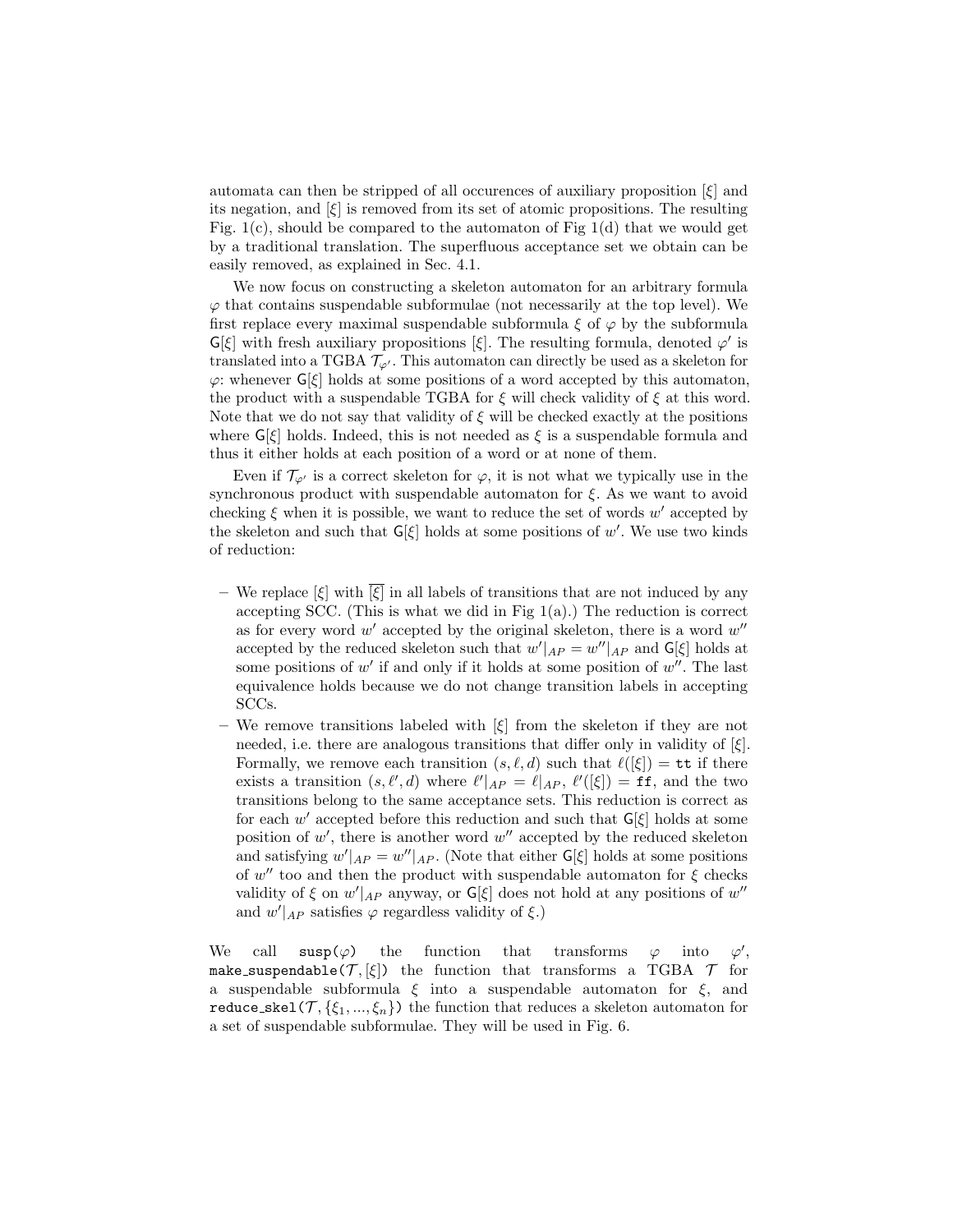automata can then be stripped of all occurences of auxiliary proposition  $|\xi|$  and its negation, and  $[\xi]$  is removed from its set of atomic propositions. The resulting Fig.  $1(c)$ , should be compared to the automaton of Fig  $1(d)$  that we would get by a traditional translation. The superfluous acceptance set we obtain can be easily removed, as explained in Sec. 4.1.

We now focus on constructing a skeleton automaton for an arbitrary formula  $\varphi$  that contains suspendable subformulae (not necessarily at the top level). We first replace every maximal suspendable subformula  $\xi$  of  $\varphi$  by the subformula  $\mathsf{G}[\xi]$  with fresh auxiliary propositions  $[\xi]$ . The resulting formula, denoted  $\varphi'$  is translated into a TGBA  $\mathcal{T}_{\varphi}$ . This automaton can directly be used as a skeleton for  $\varphi$ : whenever  $\mathsf{G}[\xi]$  holds at some positions of a word accepted by this automaton, the product with a suspendable TGBA for  $\xi$  will check validity of  $\xi$  at this word. Note that we do not say that validity of  $\xi$  will be checked exactly at the positions where  $G[\xi]$  holds. Indeed, this is not needed as  $\xi$  is a suspendable formula and thus it either holds at each position of a word or at none of them.

Even if  $\mathcal{T}_{\varphi'}$  is a correct skeleton for  $\varphi$ , it is not what we typically use in the synchronous product with suspendable automaton for  $\xi$ . As we want to avoid checking  $\xi$  when it is possible, we want to reduce the set of words w' accepted by the skeleton and such that  $G[\xi]$  holds at some positions of w'. We use two kinds of reduction:

- We replace  $[\xi]$  with  $[\xi]$  in all labels of transitions that are not induced by any accepting SCC. (This is what we did in Fig  $1(a)$ .) The reduction is correct as for every word  $w'$  accepted by the original skeleton, there is a word  $w''$ accepted by the reduced skeleton such that  $w'|_{AP} = w''|_{AP}$  and  $\mathsf{G}[\xi]$  holds at some positions of  $w'$  if and only if it holds at some position of  $w''$ . The last equivalence holds because we do not change transition labels in accepting SCCs.
- We remove transitions labeled with  $[\xi]$  from the skeleton if they are not needed, i.e. there are analogous transitions that differ only in validity of  $[\xi]$ . Formally, we remove each transition  $(s, \ell, d)$  such that  $\ell([\xi]) = \mathtt{tt}$  if there exists a transition  $(s, \ell', d)$  where  $\ell'|_{AP} = \ell|_{AP}, \ell'([\xi]) = \texttt{ff}$ , and the two transitions belong to the same acceptance sets. This reduction is correct as for each  $w'$  accepted before this reduction and such that  $\mathsf{G}[\xi]$  holds at some position of  $w'$ , there is another word  $w''$  accepted by the reduced skeleton and satisfying  $w'|_{AP} = w''|_{AP}$ . (Note that either  $\mathsf{G}[\xi]$  holds at some positions of  $w''$  too and then the product with suspendable automaton for  $\xi$  checks validity of  $\xi$  on  $w'|_{AP}$  anyway, or  $\mathsf{G}[\xi]$  does not hold at any positions of  $w''$ and  $w'|_{AP}$  satisfies  $\varphi$  regardless validity of  $\xi$ .)

We call  $\text{supp}(\varphi)$  the function that transforms  $\varphi$  into  $^{\prime}$ , make suspendable( $\mathcal{T}, [\xi]$ ) the function that transforms a TGBA  $\mathcal{T}$  for a suspendable subformula  $\xi$  into a suspendable automaton for  $\xi$ , and reduce skel( $\mathcal{T}, \{\xi_1, ..., \xi_n\}$ ) the function that reduces a skeleton automaton for a set of suspendable subformulae. They will be used in Fig. 6.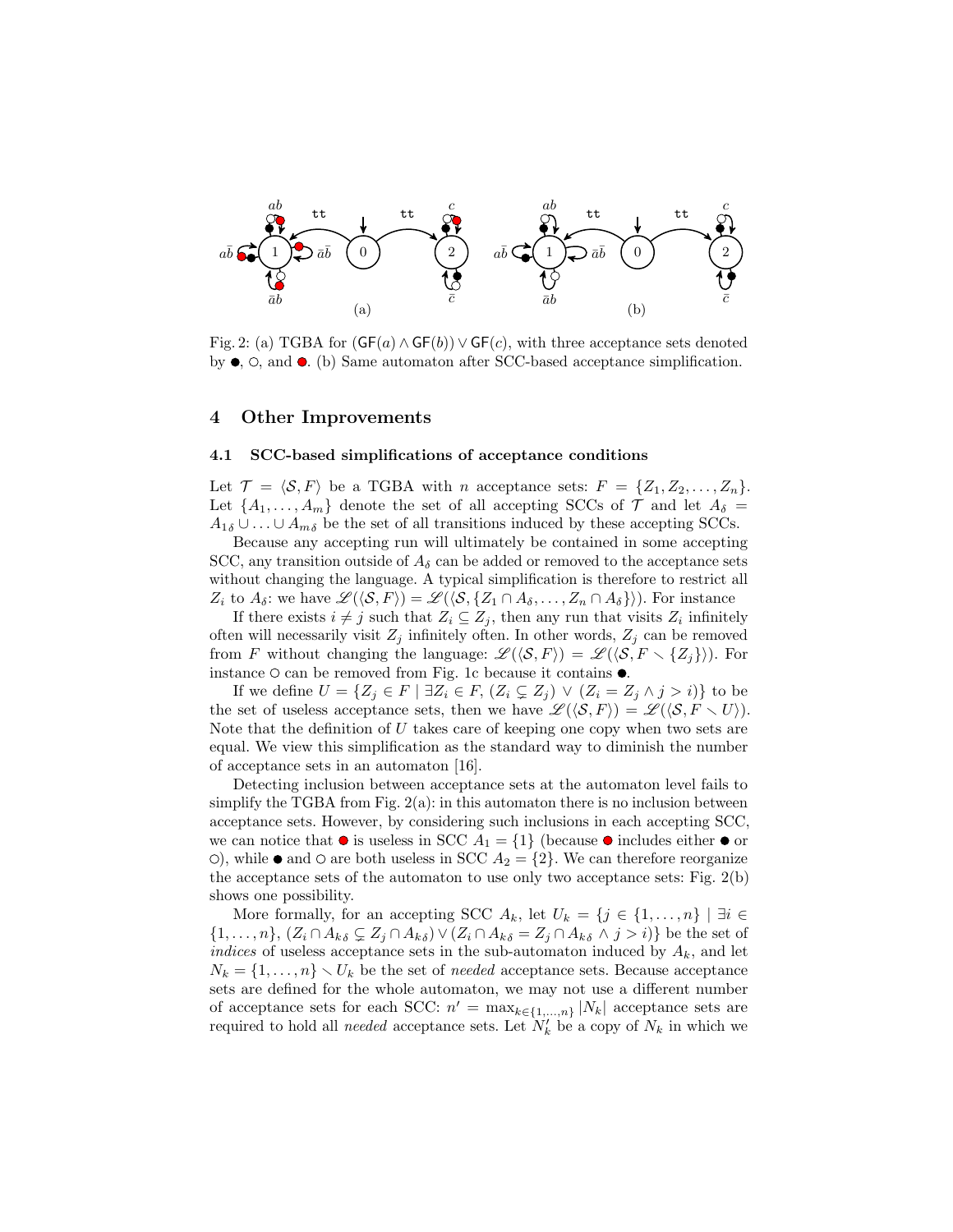

Fig. 2: (a) TGBA for  $(GF(a) \wedge GF(b)) \vee GF(c)$ , with three acceptance sets denoted by  $\bullet$ ,  $\circ$ , and  $\bullet$ . (b) Same automaton after SCC-based acceptance simplification.

### 4 Other Improvements

#### 4.1 SCC-based simplifications of acceptance conditions

Let  $\mathcal{T} = \langle \mathcal{S}, F \rangle$  be a TGBA with n acceptance sets:  $F = \{Z_1, Z_2, \ldots, Z_n\}.$ Let  $\{A_1, \ldots, A_m\}$  denote the set of all accepting SCCs of  $\mathcal T$  and let  $A_\delta =$  $A_{1\delta} \cup \ldots \cup A_{m\delta}$  be the set of all transitions induced by these accepting SCCs.

Because any accepting run will ultimately be contained in some accepting SCC, any transition outside of  $A_{\delta}$  can be added or removed to the acceptance sets without changing the language. A typical simplification is therefore to restrict all  $Z_i$  to  $A_\delta$ : we have  $\mathscr{L}(\langle \mathcal{S}, F \rangle) = \mathscr{L}(\langle \mathcal{S}, \{Z_1 \cap A_\delta, \ldots, Z_n \cap A_\delta\} \rangle)$ . For instance

If there exists  $i \neq j$  such that  $Z_i \subseteq Z_j$ , then any run that visits  $Z_i$  infinitely often will necessarily visit  $Z_j$  infinitely often. In other words,  $Z_j$  can be removed from F without changing the language:  $\mathscr{L}(\langle \mathcal{S}, F \rangle) = \mathscr{L}(\langle \mathcal{S}, F \setminus \{Z_j\} \rangle)$ . For instance  $\circ$  can be removed from Fig. 1c because it contains  $\bullet$ .

If we define  $U = \{Z_j \in F \mid \exists Z_i \in F, (Z_i \subsetneq Z_j) \lor (Z_i = Z_j \land j > i) \}$  to be the set of useless acceptance sets, then we have  $\mathscr{L}(\langle \mathcal{S}, F \rangle) = \mathscr{L}(\langle \mathcal{S}, F \setminus U \rangle)$ . Note that the definition of  $U$  takes care of keeping one copy when two sets are equal. We view this simplification as the standard way to diminish the number of acceptance sets in an automaton [16].

Detecting inclusion between acceptance sets at the automaton level fails to simplify the TGBA from Fig.  $2(a)$ : in this automaton there is no inclusion between acceptance sets. However, by considering such inclusions in each accepting SCC, we can notice that  $\bullet$  is useless in SCC  $A_1 = \{1\}$  (because  $\bullet$  includes either  $\bullet$  or  $\circ$ ), while  $\bullet$  and  $\circ$  are both useless in SCC  $A_2 = \{2\}$ . We can therefore reorganize the acceptance sets of the automaton to use only two acceptance sets: Fig. 2(b) shows one possibility.

More formally, for an accepting SCC  $A_k$ , let  $U_k = \{j \in \{1, ..., n\} \mid \exists i \in$  $\{1,\ldots,n\},\ (Z_i\cap A_{k\delta}\subsetneq Z_j\cap A_{k\delta})\vee (Z_i\cap A_{k\delta}=Z_j\cap A_{k\delta}\wedge j>i)\}$  be the set of indices of useless acceptance sets in the sub-automaton induced by  $A_k$ , and let  $N_k = \{1, \ldots, n\} \setminus U_k$  be the set of needed acceptance sets. Because acceptance sets are defined for the whole automaton, we may not use a different number of acceptance sets for each SCC:  $n' = \max_{k \in \{1,...,n\}} |N_k|$  acceptance sets are required to hold all *needed* acceptance sets. Let  $N'_k$  be a copy of  $N_k$  in which we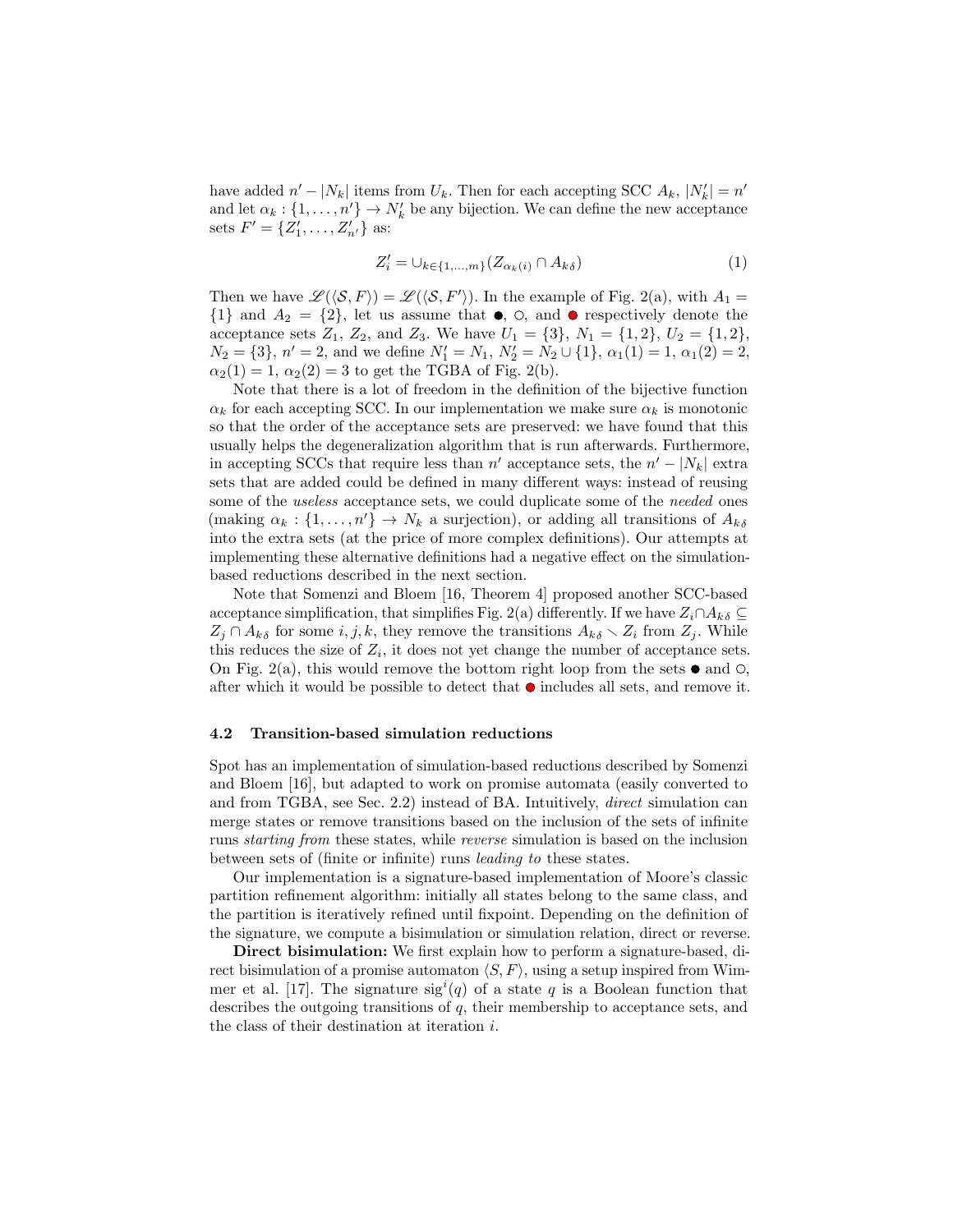have added  $n' - |N_k|$  items from  $U_k$ . Then for each accepting SCC  $A_k$ ,  $|N'_k| = n'$ and let  $\alpha_k : \{1, \ldots, n'\} \to N'_k$  be any bijection. We can define the new acceptance sets  $F' = \{Z'_1, \ldots, Z'_{n'}\}$  as:

$$
Z_i' = \cup_{k \in \{1, \dots, m\}} (Z_{\alpha_k(i)} \cap A_{k\delta}) \tag{1}
$$

Then we have  $\mathscr{L}(\langle \mathcal{S}, F \rangle) = \mathscr{L}(\langle \mathcal{S}, F' \rangle)$ . In the example of Fig. 2(a), with  $A_1 =$  $\{1\}$  and  $A_2 = \{2\}$ , let us assume that  $\bullet$ ,  $\circ$ , and  $\bullet$  respectively denote the acceptance sets  $Z_1$ ,  $Z_2$ , and  $Z_3$ . We have  $U_1 = \{3\}$ ,  $N_1 = \{1, 2\}$ ,  $U_2 = \{1, 2\}$ ,  $N_2 = \{3\}, n' = 2$ , and we define  $N'_1 = N_1$ ,  $N'_2 = N_2 \cup \{1\}, \alpha_1(1) = 1, \alpha_1(2) = 2$ ,  $\alpha_2(1) = 1, \alpha_2(2) = 3$  to get the TGBA of Fig. 2(b).

Note that there is a lot of freedom in the definition of the bijective function  $\alpha_k$  for each accepting SCC. In our implementation we make sure  $\alpha_k$  is monotonic so that the order of the acceptance sets are preserved: we have found that this usually helps the degeneralization algorithm that is run afterwards. Furthermore, in accepting SCCs that require less than  $n'$  acceptance sets, the  $n' - |N_k|$  extra sets that are added could be defined in many different ways: instead of reusing some of the *useless* acceptance sets, we could duplicate some of the *needed* ones (making  $\alpha_k : \{1, \ldots, n'\} \to N_k$  a surjection), or adding all transitions of  $A_{k\delta}$ into the extra sets (at the price of more complex definitions). Our attempts at implementing these alternative definitions had a negative effect on the simulationbased reductions described in the next section.

Note that Somenzi and Bloem [16, Theorem 4] proposed another SCC-based acceptance simplification, that simplifies Fig. 2(a) differently. If we have  $Z_i \cap A_{k\delta} \subseteq$  $Z_j \cap A_{k\delta}$  for some  $i, j, k$ , they remove the transitions  $A_{k\delta} \setminus Z_i$  from  $Z_j$ . While this reduces the size of  $Z_i$ , it does not yet change the number of acceptance sets. On Fig. 2(a), this would remove the bottom right loop from the sets  $\bullet$  and  $\circ$ . after which it would be possible to detect that  $\bullet$  includes all sets, and remove it.

#### 4.2 Transition-based simulation reductions

Spot has an implementation of simulation-based reductions described by Somenzi and Bloem [16], but adapted to work on promise automata (easily converted to and from TGBA, see Sec. 2.2) instead of BA. Intuitively, direct simulation can merge states or remove transitions based on the inclusion of the sets of infinite runs starting from these states, while reverse simulation is based on the inclusion between sets of (finite or infinite) runs leading to these states.

Our implementation is a signature-based implementation of Moore's classic partition refinement algorithm: initially all states belong to the same class, and the partition is iteratively refined until fixpoint. Depending on the definition of the signature, we compute a bisimulation or simulation relation, direct or reverse.

Direct bisimulation: We first explain how to perform a signature-based, direct bisimulation of a promise automaton  $\langle S, F \rangle$ , using a setup inspired from Wimmer et al. [17]. The signature  $sig<sup>i</sup>(q)$  of a state q is a Boolean function that describes the outgoing transitions of  $q$ , their membership to acceptance sets, and the class of their destination at iteration i.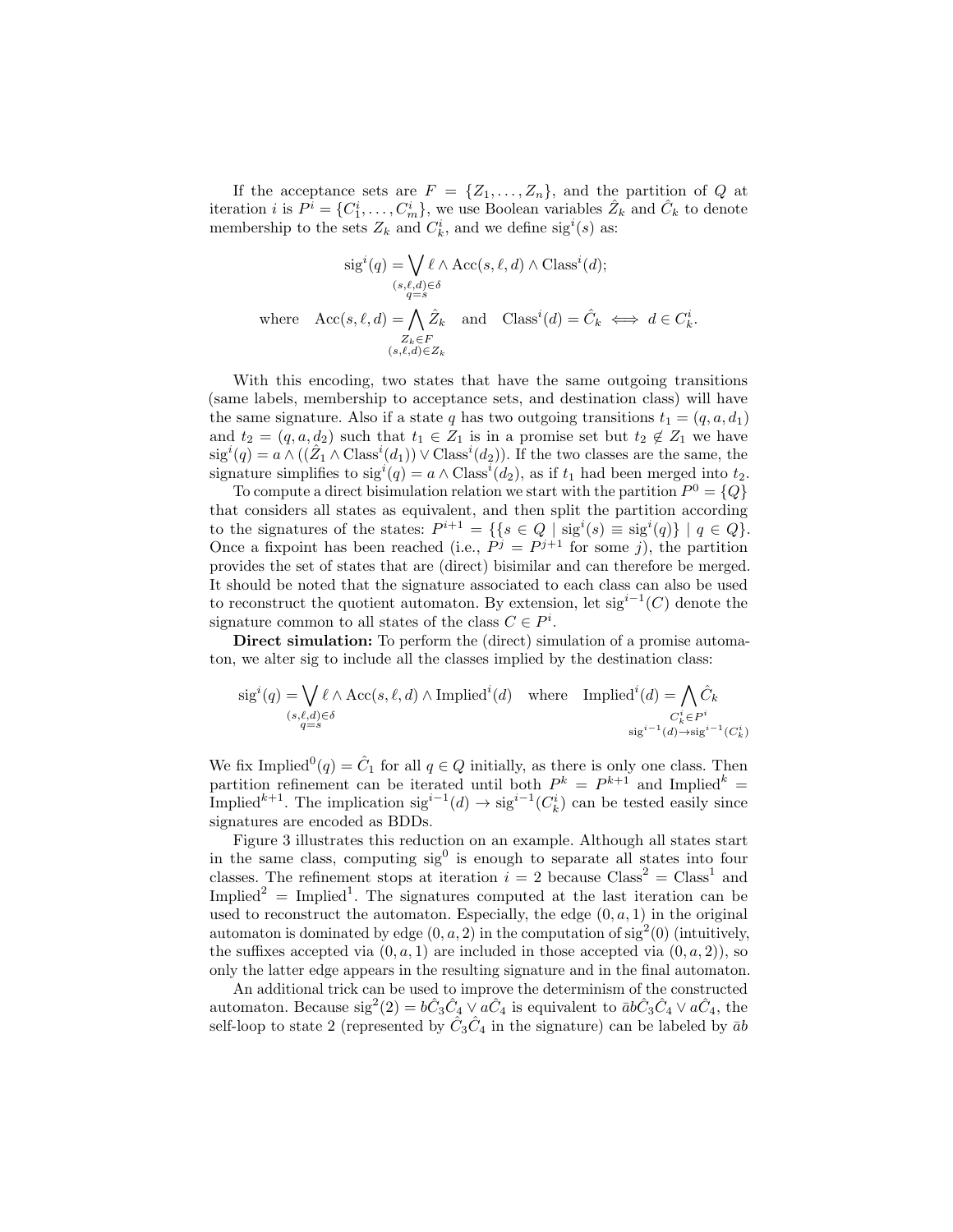If the acceptance sets are  $F = \{Z_1, \ldots, Z_n\}$ , and the partition of Q at iteration *i* is  $P^i = \{C_1^i, \ldots, C_m^i\}$ , we use Boolean variables  $\hat{Z}_k$  and  $\hat{C}_k$  to denote membership to the sets  $Z_k$  and  $C_k^i$ , and we define sig<sup>i</sup>(s) as:

$$
sig^{i}(q) = \bigvee_{(s,\ell,d)\in\delta} \ell \wedge Acc(s,\ell,d) \wedge Class^{i}(d);
$$
  
\n
$$
\langle s,\ell,d\rangle \in \delta
$$
  
\nwhere  $Acc(s,\ell,d) = \bigwedge_{\substack{Z_k \in F \\ (s,\ell,d) \in Z_k}} \hat{Z}_k$  and  $Class^{i}(d) = \hat{C}_k \iff d \in C_k^{i}$ .

With this encoding, two states that have the same outgoing transitions (same labels, membership to acceptance sets, and destination class) will have the same signature. Also if a state q has two outgoing transitions  $t_1 = (q, a, d_1)$ and  $t_2 = (q, a, d_2)$  such that  $t_1 \in Z_1$  is in a promise set but  $t_2 \notin Z_1$  we have  $sig^i(q) = a \wedge ((\hat{Z}_1 \wedge Class^i(d_1)) \vee Class^i(d_2)).$  If the two classes are the same, the signature simplifies to  $sig^i(q) = a \wedge Class^i(d_2)$ , as if  $t_1$  had been merged into  $t_2$ .

To compute a direct bisimulation relation we start with the partition  $P^0 = \{Q\}$ that considers all states as equivalent, and then split the partition according to the signatures of the states:  $P^{i+1} = \{ \{ s \in Q \mid \text{sig}^i(s) \equiv \text{sig}^i(q) \} \mid q \in Q \}.$ Once a fixpoint has been reached (i.e.,  $P^j = P^{j+1}$  for some j), the partition provides the set of states that are (direct) bisimilar and can therefore be merged. It should be noted that the signature associated to each class can also be used to reconstruct the quotient automaton. By extension, let  $sig^{i-1}(C)$  denote the signature common to all states of the class  $C \in P^i$ .

Direct simulation: To perform the (direct) simulation of a promise automaton, we alter sig to include all the classes implied by the destination class:

$$
\operatorname{sig}^i(q) = \bigvee_{\substack{(s,\ell,d)\in\delta\\q=s}} \ell \wedge \operatorname{Acc}(s,\ell,d) \wedge \operatorname{Implied}^i(d) \quad \text{where} \quad \operatorname{Implied}^i(d) = \bigwedge_{\substack{C^i_k \in P^i\\ \operatorname{sig}^{i-1}(d) \to \operatorname{sig}^{i-1}(C^i_k)}} \hat{C}^i_k
$$

We fix Implied<sup>0</sup> $(q) = \hat{C}_1$  for all  $q \in Q$  initially, as there is only one class. Then partition refinement can be iterated until both  $P^k = P^{k+1}$  and Implied<sup>k</sup> Implied<sup>k+1</sup>. The implication  $sig^{i-1}(d) \to sig^{i-1}(C_k^i)$  can be tested easily since signatures are encoded as BDDs.

Figure 3 illustrates this reduction on an example. Although all states start in the same class, computing  $sig<sup>0</sup>$  is enough to separate all states into four classes. The refinement stops at iteration  $i = 2$  because  $Class<sup>2</sup> = Class<sup>1</sup>$  and Implied<sup>2</sup> = Implied<sup>1</sup>. The signatures computed at the last iteration can be used to reconstruct the automaton. Especially, the edge  $(0, a, 1)$  in the original automaton is dominated by edge  $(0, a, 2)$  in the computation of sig<sup>2</sup> $(0)$  (intuitively, the suffixes accepted via  $(0, a, 1)$  are included in those accepted via  $(0, a, 2)$ , so only the latter edge appears in the resulting signature and in the final automaton.

An additional trick can be used to improve the determinism of the constructed automaton. Because  $\text{sig}^2(2) = b\hat{C}_3\hat{C}_4 \vee a\hat{C}_4$  is equivalent to  $\bar{a}b\hat{C}_3\hat{C}_4 \vee a\hat{C}_4$ , the self-loop to state 2 (represented by  $\hat{C}_3 \hat{C}_4$  in the signature) can be labeled by  $\bar{a}b$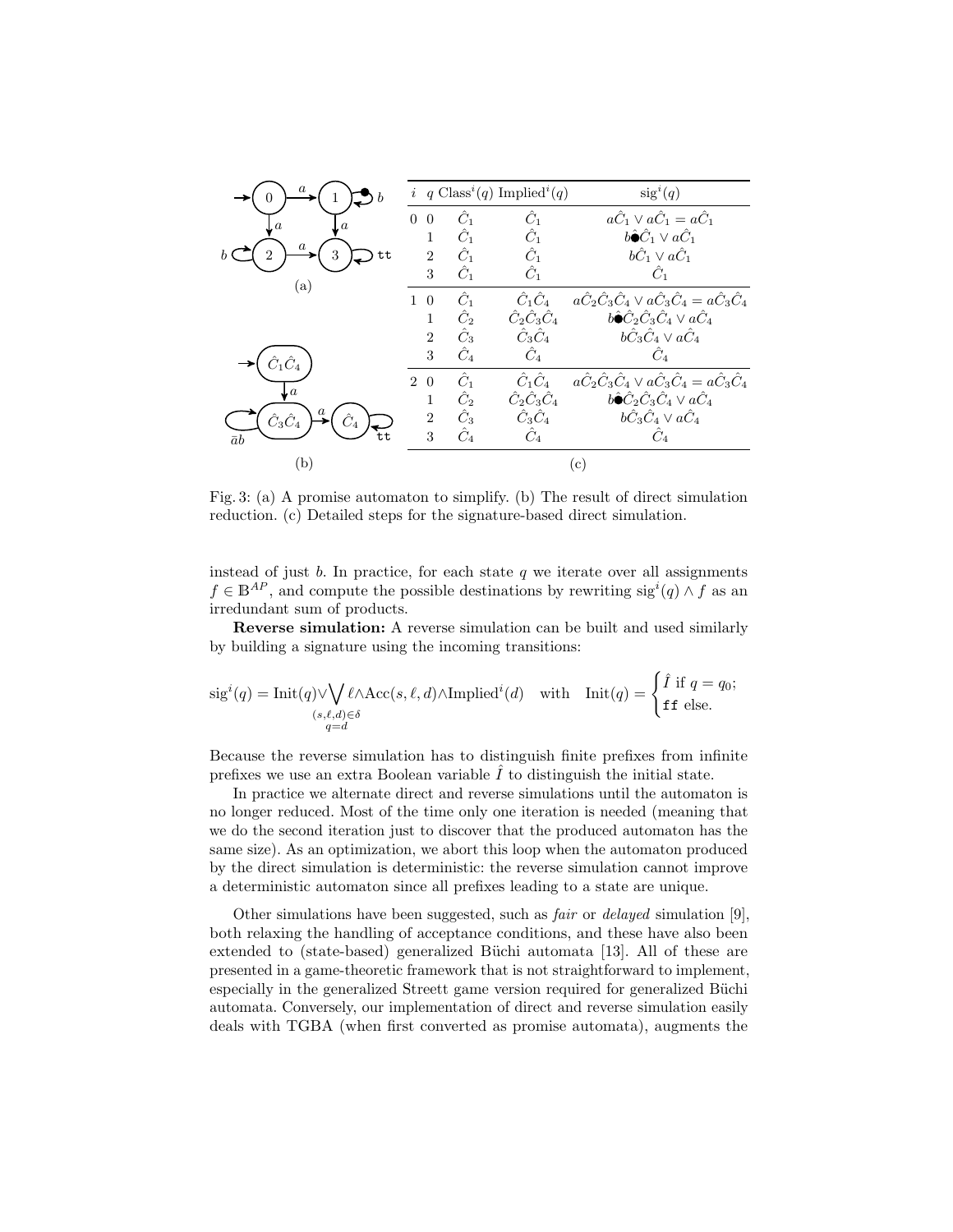|                                      | i.                         |               | q Class <sup>i</sup> (q) Implied <sup>i</sup> (q) | $sig^i(q)$                                                                               |  |  |  |  |
|--------------------------------------|----------------------------|---------------|---------------------------------------------------|------------------------------------------------------------------------------------------|--|--|--|--|
| $\boldsymbol{a}$<br>$\boldsymbol{a}$ | $\overline{0}$<br>$\Omega$ | $\hat{C}_1$   | $\hat{C}_1$                                       | $a\hat{C}_1 \vee a\hat{C}_1 = a\hat{C}_1$                                                |  |  |  |  |
| $\it a$                              |                            | $\hat{C}_1$   | $\hat{C}_1$                                       | $b\hat{\bullet}\hat{C}_1\vee a\hat{C}_1$                                                 |  |  |  |  |
| 3<br>tt                              | $\overline{2}$             | $\hat{C}_1$   | $\hat{C}_1$                                       | $b\hat{C}_1\vee a\hat{C}_1$                                                              |  |  |  |  |
| ${\rm (a)}$                          | 3                          | $\hat{C}_1$   | $\hat{C}_1$                                       | $C_1$                                                                                    |  |  |  |  |
|                                      | $\overline{0}$<br>1        | $\hat{C}_1$   | $\hat{C}_1 \hat{C}_4$                             | $a\hat{C}_{2}\hat{C}_{3}\hat{C}_{4}\vee a\hat{C}_{3}\hat{C}_{4}=a\hat{C}_{3}\hat{C}_{4}$ |  |  |  |  |
|                                      | 1                          | $\hat{C}_2$   | $\hat C_2 \hat C_3 \hat C_4$                      | $b\hat{\bullet}\hat{C}_2\hat{C}_3\hat{C}_4 \vee a\hat{C}_4$                              |  |  |  |  |
|                                      | $\overline{2}$             | $\hat{C}_3$   | $\hat C_3 \hat C_4$                               | $b\hat{C}_3\hat{C}_4 \vee a\hat{C}_4$                                                    |  |  |  |  |
|                                      | 3                          | $\hat{C}_4$   | $\hat{C}_4$                                       | $\ddot{C}_4$                                                                             |  |  |  |  |
|                                      | 2 0                        | $\tilde{C}_1$ | $\hat C_1 \hat C_4$                               | $a\hat{C}_{2}\hat{C}_{3}\hat{C}_{4}\vee a\hat{C}_{3}\hat{C}_{4}=a\hat{C}_{3}\hat{C}_{4}$ |  |  |  |  |
| Jα                                   | 1                          | $\hat{C}_2$   | $\hat C_2 \hat C_3 \hat C_4$                      | $b\hat{\bullet}\hat{C}_2\hat{C}_3\hat{C}_4 \vee a\hat{C}_4$                              |  |  |  |  |
| $\hat C_3 \hat C_4$                  | $\overline{2}$             | $\hat{C}_3$   | $\hat C_3 \hat C_4$                               | $b\hat{C}_3\hat{C}_4 \vee a\hat{C}_4$                                                    |  |  |  |  |
| $\bar{a}b$                           | 3                          | $\hat{C}_4$   | $\hat{C}_4$                                       | $C_4$                                                                                    |  |  |  |  |
| (b)                                  |                            |               |                                                   | $^{\rm (c)}$                                                                             |  |  |  |  |

Fig. 3: (a) A promise automaton to simplify. (b) The result of direct simulation reduction. (c) Detailed steps for the signature-based direct simulation.

instead of just  $b$ . In practice, for each state  $q$  we iterate over all assignments  $f \in \mathbb{B}^{AP}$ , and compute the possible destinations by rewriting  $sig^{i}(q) \wedge f$  as an irredundant sum of products.

Reverse simulation: A reverse simulation can be built and used similarly by building a signature using the incoming transitions:

$$
\text{sig}^i(q) = \text{Init}(q) \lor \bigvee_{\substack{(s,\ell,d) \in \delta \\ q=d}} \ell \land \text{Acc}(s,\ell,d) \land \text{Implicit}(d) \quad \text{with} \quad \text{Init}(q) = \begin{cases} \hat{I} & \text{if } q=q_0; \\ \text{ff else.} \end{cases}
$$

Because the reverse simulation has to distinguish finite prefixes from infinite prefixes we use an extra Boolean variable  $I$  to distinguish the initial state.

In practice we alternate direct and reverse simulations until the automaton is no longer reduced. Most of the time only one iteration is needed (meaning that we do the second iteration just to discover that the produced automaton has the same size). As an optimization, we abort this loop when the automaton produced by the direct simulation is deterministic: the reverse simulation cannot improve a deterministic automaton since all prefixes leading to a state are unique.

Other simulations have been suggested, such as fair or delayed simulation [9], both relaxing the handling of acceptance conditions, and these have also been extended to (state-based) generalized Büchi automata [13]. All of these are presented in a game-theoretic framework that is not straightforward to implement, especially in the generalized Streett game version required for generalized Büchi automata. Conversely, our implementation of direct and reverse simulation easily deals with TGBA (when first converted as promise automata), augments the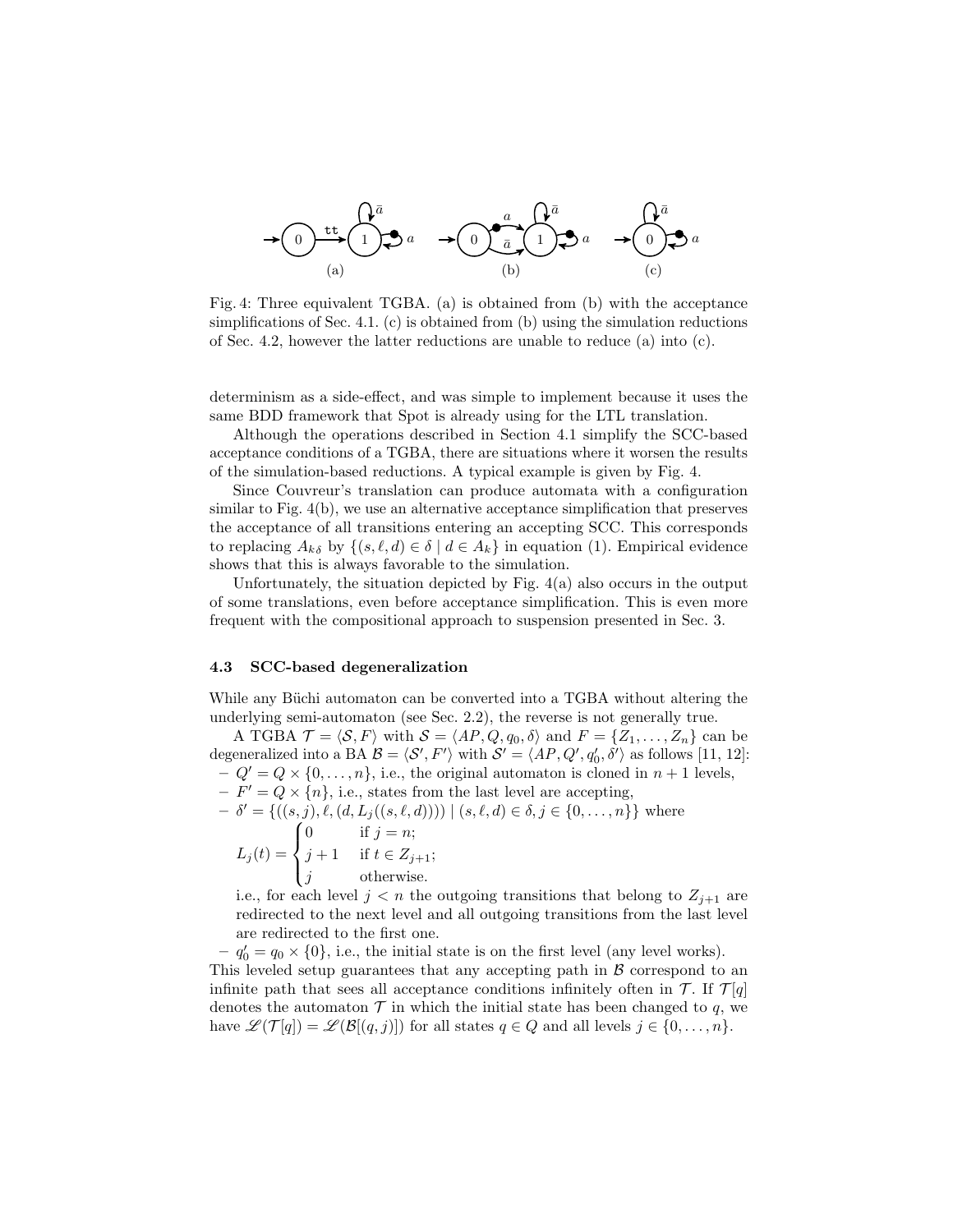

Fig. 4: Three equivalent TGBA. (a) is obtained from (b) with the acceptance simplifications of Sec. 4.1. (c) is obtained from (b) using the simulation reductions of Sec. 4.2, however the latter reductions are unable to reduce (a) into  $(c)$ .

determinism as a side-effect, and was simple to implement because it uses the same BDD framework that Spot is already using for the LTL translation.

Although the operations described in Section 4.1 simplify the SCC-based acceptance conditions of a TGBA, there are situations where it worsen the results of the simulation-based reductions. A typical example is given by Fig. 4.

Since Couvreur's translation can produce automata with a configuration similar to Fig. 4(b), we use an alternative acceptance simplification that preserves the acceptance of all transitions entering an accepting SCC. This corresponds to replacing  $A_{k\delta}$  by  $\{(s,\ell, d) \in \delta \mid d \in A_k\}$  in equation (1). Empirical evidence shows that this is always favorable to the simulation.

Unfortunately, the situation depicted by Fig.  $4(a)$  also occurs in the output of some translations, even before acceptance simplification. This is even more frequent with the compositional approach to suspension presented in Sec. 3.

#### 4.3 SCC-based degeneralization

While any Büchi automaton can be converted into a TGBA without altering the underlying semi-automaton (see Sec. 2.2), the reverse is not generally true.

A TGBA  $\mathcal{T} = \langle \mathcal{S}, F \rangle$  with  $\mathcal{S} = \langle AP, Q, q_0, \delta \rangle$  and  $F = \{Z_1, \ldots, Z_n\}$  can be degeneralized into a BA  $\mathcal{B} = \langle \mathcal{S}', F'\rangle$  with  $\mathcal{S}' = \langle AP, Q', q'_0, \delta'\rangle$  as follows [11, 12]:  $-Q' = Q \times \{0, \ldots, n\}$ , i.e., the original automaton is cloned in  $n+1$  levels,  $-F' = Q \times \{n\}$ , i.e., states from the last level are accepting,

$$
- \ \delta' = \{ ((s, j), \ell, (d, L_j((s, \ell, d)))) \mid (s, \ell, d) \in \delta, j \in \{0, ..., n\} \} \text{ where}
$$

$$
L_j(t) = \begin{cases} 0 & \text{if } j = n; \\ j+1 & \text{if } t \in Z_{j+1}; \\ j & \text{otherwise.} \end{cases}
$$

i.e., for each level  $j < n$  the outgoing transitions that belong to  $Z_{j+1}$  are redirected to the next level and all outgoing transitions from the last level are redirected to the first one.

 $-q'_0 = q_0 \times \{0\}$ , i.e., the initial state is on the first level (any level works). This leveled setup guarantees that any accepting path in  $\beta$  correspond to an infinite path that sees all acceptance conditions infinitely often in  $\mathcal{T}$ . If  $\mathcal{T}[q]$ denotes the automaton  $\mathcal T$  in which the initial state has been changed to q, we have  $\mathscr{L}(\mathcal{T}[q]) = \mathscr{L}(\mathcal{B}[(q, j)])$  for all states  $q \in Q$  and all levels  $j \in \{0, \ldots, n\}.$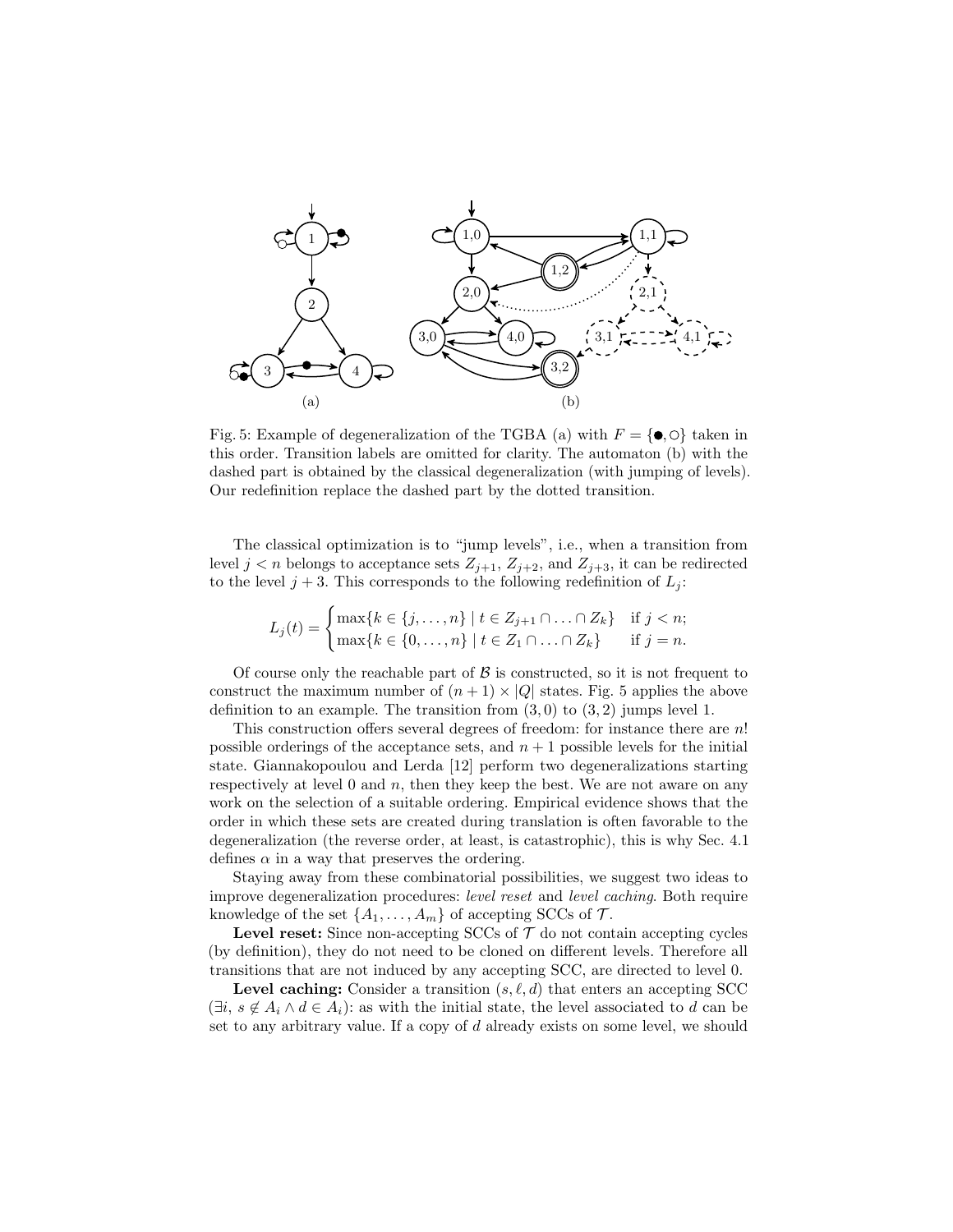

Fig. 5: Example of degeneralization of the TGBA (a) with  $F = \{ \bullet, \circ \}$  taken in this order. Transition labels are omitted for clarity. The automaton (b) with the dashed part is obtained by the classical degeneralization (with jumping of levels). Our redefinition replace the dashed part by the dotted transition.

The classical optimization is to "jump levels", i.e., when a transition from level  $j < n$  belongs to acceptance sets  $Z_{j+1}$ ,  $Z_{j+2}$ , and  $Z_{j+3}$ , it can be redirected to the level  $j + 3$ . This corresponds to the following redefinition of  $L_j$ :

$$
L_j(t) = \begin{cases} \max\{k \in \{j, \dots, n\} \mid t \in Z_{j+1} \cap \dots \cap Z_k\} & \text{if } j < n; \\ \max\{k \in \{0, \dots, n\} \mid t \in Z_1 \cap \dots \cap Z_k\} & \text{if } j = n. \end{cases}
$$

Of course only the reachable part of  $\beta$  is constructed, so it is not frequent to construct the maximum number of  $(n + 1) \times |Q|$  states. Fig. 5 applies the above definition to an example. The transition from  $(3,0)$  to  $(3,2)$  jumps level 1.

This construction offers several degrees of freedom: for instance there are  $n!$ possible orderings of the acceptance sets, and  $n + 1$  possible levels for the initial state. Giannakopoulou and Lerda [12] perform two degeneralizations starting respectively at level  $0$  and  $n$ , then they keep the best. We are not aware on any work on the selection of a suitable ordering. Empirical evidence shows that the order in which these sets are created during translation is often favorable to the degeneralization (the reverse order, at least, is catastrophic), this is why Sec. 4.1 defines  $\alpha$  in a way that preserves the ordering.

Staying away from these combinatorial possibilities, we suggest two ideas to improve degeneralization procedures: level reset and level caching. Both require knowledge of the set  $\{A_1, \ldots, A_m\}$  of accepting SCCs of  $\mathcal{T}$ .

**Level reset:** Since non-accepting SCCs of  $\mathcal{T}$  do not contain accepting cycles (by definition), they do not need to be cloned on different levels. Therefore all transitions that are not induced by any accepting SCC, are directed to level 0.

**Level caching:** Consider a transition  $(s, \ell, d)$  that enters an accepting SCC  $(\exists i, s \notin A_i \land d \in A_i)$ : as with the initial state, the level associated to d can be set to any arbitrary value. If a copy of d already exists on some level, we should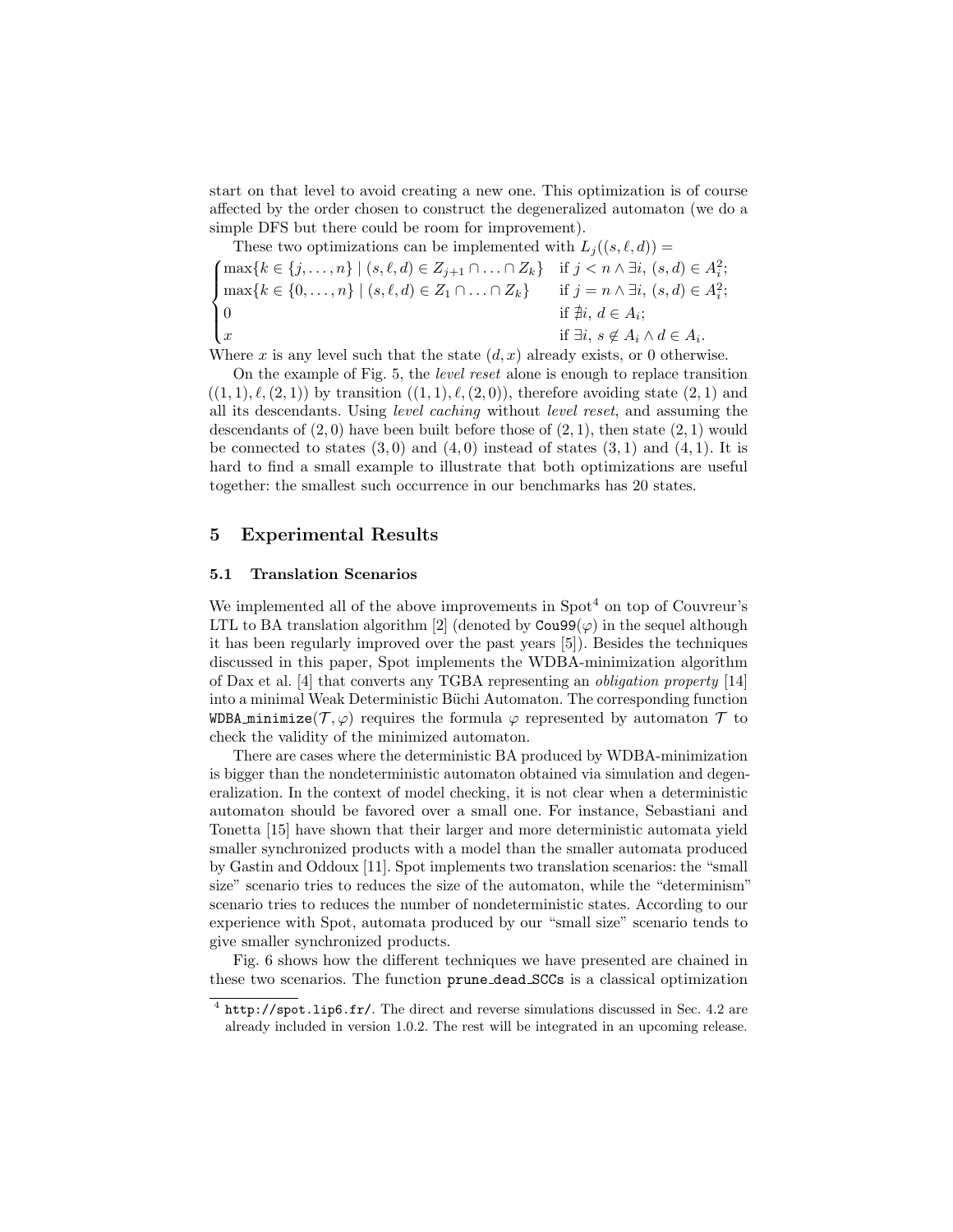start on that level to avoid creating a new one. This optimization is of course affected by the order chosen to construct the degeneralized automaton (we do a simple DFS but there could be room for improvement).

These two optimizations can be implemented with 
$$
L_j((s, \ell, d)) =
$$
  
\n
$$
\begin{cases}\n\max\{k \in \{j, ..., n\} \mid (s, \ell, d) \in Z_{j+1} \cap ... \cap Z_k\} & \text{if } j < n \land \exists i, (s, d) \in A_i^2; \\
\max\{k \in \{0, ..., n\} \mid (s, \ell, d) \in Z_1 \cap ... \cap Z_k\} & \text{if } j = n \land \exists i, (s, d) \in A_i^2; \\
0 & \text{if } \nexists i, s \notin A_i \land d \in A_i.\n\end{cases}
$$

Where x is any level such that the state  $(d, x)$  already exists, or 0 otherwise.

On the example of Fig. 5, the level reset alone is enough to replace transition  $((1, 1), \ell, (2, 1))$  by transition  $((1, 1), \ell, (2, 0))$ , therefore avoiding state  $(2, 1)$  and all its descendants. Using level caching without level reset, and assuming the descendants of  $(2, 0)$  have been built before those of  $(2, 1)$ , then state  $(2, 1)$  would be connected to states  $(3,0)$  and  $(4,0)$  instead of states  $(3,1)$  and  $(4,1)$ . It is hard to find a small example to illustrate that both optimizations are useful together: the smallest such occurrence in our benchmarks has 20 states.

# 5 Experimental Results

#### 5.1 Translation Scenarios

We implemented all of the above improvements in  $Spot<sup>4</sup>$  on top of Couvreur's LTL to BA translation algorithm [2] (denoted by  $\text{Cou99}(\varphi)$  in the sequel although it has been regularly improved over the past years [5]). Besides the techniques discussed in this paper, Spot implements the WDBA-minimization algorithm of Dax et al. [4] that converts any TGBA representing an obligation property [14] into a minimal Weak Deterministic Büchi Automaton. The corresponding function WDBA minimize( $\mathcal{T}, \varphi$ ) requires the formula  $\varphi$  represented by automaton  $\mathcal{T}$  to check the validity of the minimized automaton.

There are cases where the deterministic BA produced by WDBA-minimization is bigger than the nondeterministic automaton obtained via simulation and degeneralization. In the context of model checking, it is not clear when a deterministic automaton should be favored over a small one. For instance, Sebastiani and Tonetta [15] have shown that their larger and more deterministic automata yield smaller synchronized products with a model than the smaller automata produced by Gastin and Oddoux [11]. Spot implements two translation scenarios: the "small size" scenario tries to reduces the size of the automaton, while the "determinism" scenario tries to reduces the number of nondeterministic states. According to our experience with Spot, automata produced by our "small size" scenario tends to give smaller synchronized products.

Fig. 6 shows how the different techniques we have presented are chained in these two scenarios. The function prune dead SCCs is a classical optimization

<sup>&</sup>lt;sup>4</sup> http://spot.lip6.fr/. The direct and reverse simulations discussed in Sec. 4.2 are already included in version 1.0.2. The rest will be integrated in an upcoming release.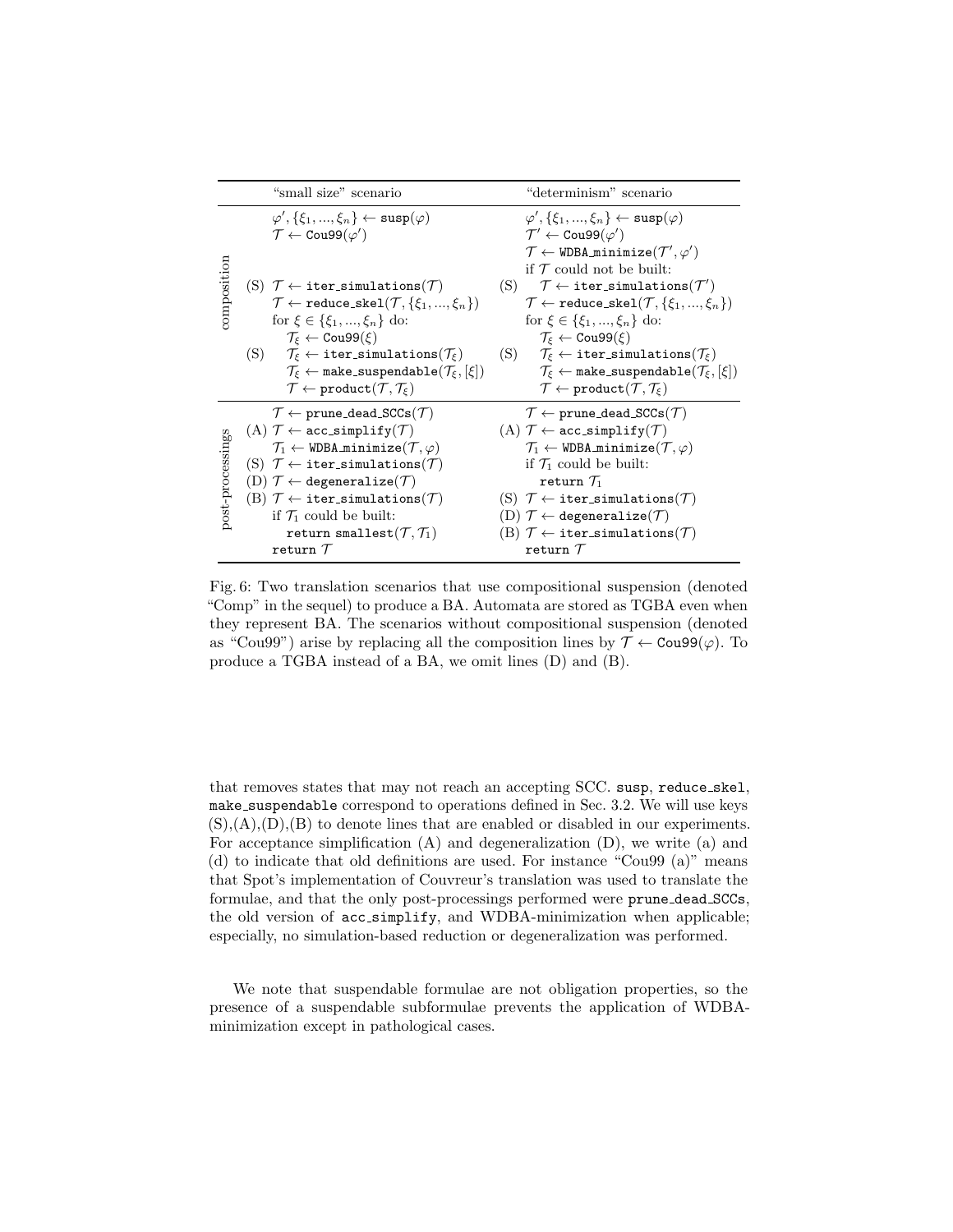|                  | "small size" scenario                                                                                                                                                                                                                                                                                                                                                                                                                                                                                           | "determinism" scenario                                                                                                                                                                                                                                                                                                                                                                                                                                                                                                                    |
|------------------|-----------------------------------------------------------------------------------------------------------------------------------------------------------------------------------------------------------------------------------------------------------------------------------------------------------------------------------------------------------------------------------------------------------------------------------------------------------------------------------------------------------------|-------------------------------------------------------------------------------------------------------------------------------------------------------------------------------------------------------------------------------------------------------------------------------------------------------------------------------------------------------------------------------------------------------------------------------------------------------------------------------------------------------------------------------------------|
|                  | $\varphi', \{\xi_1, , \xi_n\} \leftarrow \text{sup}(\varphi)$<br>$\mathcal{T} \leftarrow \texttt{Cou99}(\varphi')$                                                                                                                                                                                                                                                                                                                                                                                              | $\varphi', \{\xi_1, , \xi_n\} \leftarrow \text{sup}(\varphi)$<br>$\mathcal{T}' \leftarrow \texttt{Cou99}(\varphi')$<br>$\mathcal{T} \leftarrow \texttt{WDBA\_minimize}(\mathcal{T}', \varphi')$<br>if $\mathcal T$ could not be built:                                                                                                                                                                                                                                                                                                    |
| composition      | (S) $\mathcal{T} \leftarrow$ iter_simulations( $\mathcal{T}$ )<br>$\mathcal{T} \leftarrow \texttt{reduce\_skel}(\mathcal{T}, \{\xi_1, , \xi_n\})$<br>for $\xi \in {\xi_1, , \xi_n}$ do:<br>$\mathcal{T}_{\varepsilon} \leftarrow \text{Cou99}(\varepsilon)$<br>(S) $\mathcal{T}_{\xi} \leftarrow \texttt{iter\_simulations}(\mathcal{T}_{\xi})$<br>$\mathcal{T}_{\xi} \leftarrow$ make_suspendable $(\mathcal{T}_{\xi}, [\xi])$<br>$\mathcal{T} \leftarrow \texttt{product}(\mathcal{T},\mathcal{T}_{\xi})$     | (S) $\mathcal{T} \leftarrow \texttt{iter\_simulations}(\mathcal{T}')$<br>$\mathcal{T} \leftarrow \texttt{reduce\_skel}(\mathcal{T}, \{\xi_1, , \xi_n\})$<br>for $\xi \in {\xi_1, , \xi_n}$ do:<br>$\mathcal{T}_{\varepsilon} \leftarrow \text{Cou99}(\varepsilon)$<br>(S) $\mathcal{T}_{\varepsilon} \leftarrow \texttt{iter\_simulations}(\mathcal{T}_{\varepsilon})$<br>$\mathcal{T}_{\xi} \leftarrow$ make_suspendable $(\mathcal{T}_{\xi}, [\xi])$<br>$\mathcal{T} \leftarrow \text{product}(\mathcal{T}, \mathcal{T}_{\varepsilon})$ |
| post-processings | $\mathcal{T} \leftarrow$ prune_dead_SCCs $(\mathcal{T})$<br>(A) $\mathcal{T} \leftarrow$ acc_simplify( $\mathcal{T}$ )<br>$\mathcal{T}_1 \leftarrow \texttt{WDBA-minimize}(\mathcal{T}, \varphi)$<br>(S) $\mathcal{T} \leftarrow$ iter_simulations( $\mathcal{T}$ )<br>(D) $\mathcal{T} \leftarrow$ degeneralize( $\mathcal{T}$ )<br>(B) $\mathcal{T} \leftarrow$ iter_simulations( $\mathcal{T}$ )<br>if $\mathcal{T}_1$ could be built:<br>return smallest $(\mathcal{T},\mathcal{T}_1)$<br>return ${\cal T}$ | $\mathcal{T} \leftarrow$ prune_dead_SCCs $(\mathcal{T})$<br>(A) $\mathcal{T} \leftarrow$ acc_simplify( $\mathcal{T}$ )<br>$\mathcal{T}_1 \leftarrow \texttt{WDBA-minimize}(\mathcal{T}, \varphi)$<br>if $\mathcal{T}_1$ could be built:<br>return $\mathcal{T}_1$<br>(S) $\mathcal{T} \leftarrow$ iter_simulations( $\mathcal{T}$ )<br>$(D)$ $\mathcal{T} \leftarrow$ degeneralize $(\mathcal{T})$<br>(B) $\mathcal{T} \leftarrow$ iter_simulations( $\mathcal{T}$ )<br>return ${\cal T}$                                                 |

Fig. 6: Two translation scenarios that use compositional suspension (denoted "Comp" in the sequel) to produce a BA. Automata are stored as TGBA even when they represent BA. The scenarios without compositional suspension (denoted as "Cou99") arise by replacing all the composition lines by  $\mathcal{T} \leftarrow \text{Cou99}(\varphi)$ . To produce a TGBA instead of a BA, we omit lines (D) and (B).

that removes states that may not reach an accepting SCC. susp, reduce skel, make suspendable correspond to operations defined in Sec. 3.2. We will use keys  $(S), (A), (D), (B)$  to denote lines that are enabled or disabled in our experiments. For acceptance simplification (A) and degeneralization (D), we write (a) and (d) to indicate that old definitions are used. For instance "Cou99 (a)" means that Spot's implementation of Couvreur's translation was used to translate the formulae, and that the only post-processings performed were prune dead SCCs, the old version of acc simplify, and WDBA-minimization when applicable; especially, no simulation-based reduction or degeneralization was performed.

We note that suspendable formulae are not obligation properties, so the presence of a suspendable subformulae prevents the application of WDBAminimization except in pathological cases.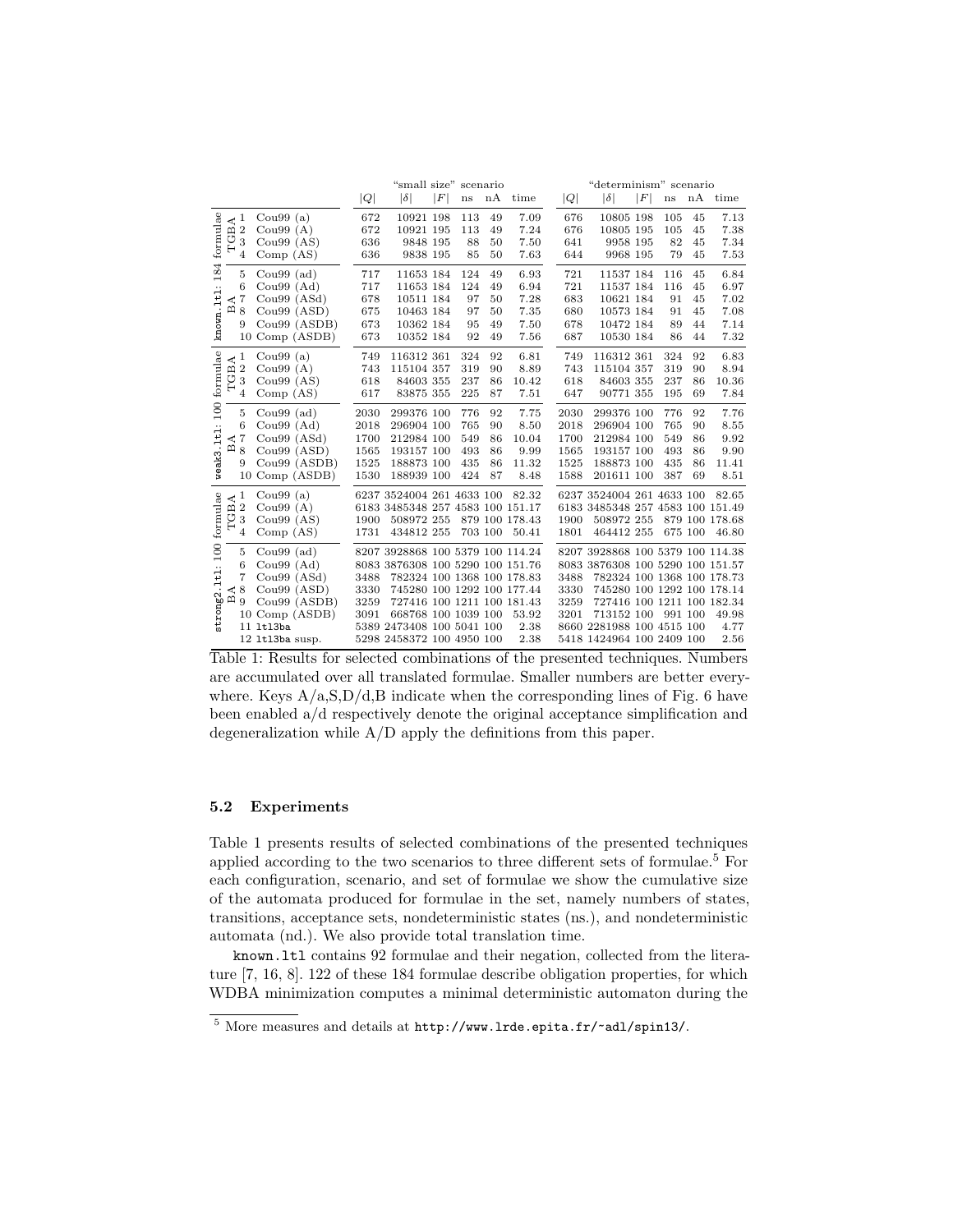|                                                    |              |                                  |                 |                  |      | "small size" scenario            |                  |     |         | "determinism" scenario<br>nA time |      |                                  |   |                        |    |                |
|----------------------------------------------------|--------------|----------------------------------|-----------------|------------------|------|----------------------------------|------------------|-----|---------|-----------------------------------|------|----------------------------------|---|------------------------|----|----------------|
|                                                    |              |                                  |                 |                  | Q    | $ \delta $                       | $\left F\right $ | ns  | nA      | time                              | Q    | $ \delta $                       | F | $\mathbf{n}\mathbf{s}$ |    |                |
| formulae<br>℧<br>184<br>known.ltl:<br>$\mathbf{m}$ |              | $\prec^1$<br>$\overline{2}$<br>3 | Cou $99(a)$     |                  | 672  | 10921 198                        |                  | 113 | 49      | 7.09                              | 676  | 10805 198                        |   | 105                    | 45 | 7.13           |
|                                                    | $\mathbf m$  |                                  | Cou $99(A)$     |                  | 672  | 10921 195                        |                  | 113 | 49      | 7.24                              | 676  | 10805 195                        |   | 105                    | 45 | 7.38           |
|                                                    |              |                                  | Cou $99(AS)$    |                  | 636  | 9848 195                         |                  | 88  | 50      | 7.50                              | 641  | 9958 195                         |   | 82                     | 45 | 7.34           |
|                                                    |              | 4                                | Comp(AS)        |                  | 636  | 9838 195                         |                  | 85  | 50      | 7.63                              | 644  | 9968 195                         |   | 79                     | 45 | 7.53           |
|                                                    |              | 5                                | Cou $99$ (ad)   |                  | 717  | 11653 184                        |                  | 124 | 49      | 6.93                              | 721  | 11537 184                        |   | 116                    | 45 | 6.84           |
|                                                    |              | 6                                | Cou $99(Ad)$    |                  | 717  | 11653 184                        |                  | 124 | 49      | 6.94                              | 721  | 11537 184                        |   | 116                    | 45 | 6.97           |
|                                                    | ⋖            | $\overline{7}$                   | Cou $99(ASd)$   |                  | 678  | 10511 184                        |                  | 97  | 50      | 7.28                              | 683  | 10621 184                        |   | 91                     | 45 | 7.02           |
|                                                    |              | 8                                | Cou $99(ASD)$   |                  | 675  | 10463 184                        |                  | 97  | 50      | 7.35                              | 680  | 10573 184                        |   | 91                     | 45 | 7.08           |
|                                                    |              | 9                                |                 | Cou99 (ASDB)     | 673  | 10362 184                        |                  | 95  | 49      | 7.50                              | 678  | 10472 184                        |   | 89                     | 44 | 7.14           |
|                                                    |              |                                  |                 | 10 Comp (ASDB)   | 673  | 10352 184                        |                  | 92  | 49      | 7.56                              | 687  | 10530 184                        |   | 86                     | 44 | 7.32           |
|                                                    | $\preceq^1$  |                                  | Cou $99(a)$     |                  | 749  | 116312 361                       |                  | 324 | 92      | 6.81                              | 749  | 116312 361                       |   | 324                    | 92 | 6.83           |
|                                                    | $\mathbf{m}$ | $\overline{2}$                   | Cou $99(A)$     |                  | 743  | 115104 357                       |                  | 319 | 90      | 8.89                              | 743  | 115104 357                       |   | 319                    | 90 | 8.94           |
|                                                    | ぴ            | 3                                | Cou $99(AS)$    |                  | 618  | 84603 355                        |                  | 237 | 86      | 10.42                             | 618  | 84603 355                        |   | 237                    | 86 | 10.36          |
| formulae                                           |              | 4                                | Comp(AS)        |                  | 617  | 83875 355                        |                  | 225 | 87      | 7.51                              | 647  | 90771 355                        |   | 195                    | 69 | 7.84           |
| 100                                                |              | 5                                | $Cou99$ (ad)    |                  | 2030 | 299376 100                       |                  | 776 | 92      | 7.75                              | 2030 | 299376 100                       |   | 776                    | 92 | 7.76           |
|                                                    |              | 6                                | Cou $99(Ad)$    |                  | 2018 | 296904 100                       |                  | 765 | 90      | 8.50                              | 2018 | 296904 100                       |   | 765                    | 90 | 8.55           |
|                                                    | $\prec$      | $\overline{7}$                   | Cou $99(ASd)$   |                  | 1700 | 212984 100                       |                  | 549 | 86      | 10.04                             | 1700 | 212984 100                       |   | 549                    | 86 | 9.92           |
|                                                    | $\mathbf{m}$ | 8                                | Cou99 (ASD)     |                  | 1565 | 193157 100                       |                  | 493 | 86      | 9.99                              | 1565 | 193157 100                       |   | 493                    | 86 | 9.90           |
|                                                    |              | 9                                |                 | $Cou99$ $(ASDB)$ | 1525 | 188873 100                       |                  | 435 | 86      | 11.32                             | 1525 | 188873 100                       |   | 435                    | 86 | 11.41          |
| weak3.1t1:                                         |              |                                  |                 | 10 Comp (ASDB)   | 1530 | 188939 100                       |                  | 424 | 87      | 8.48                              | 1588 | 201611 100                       |   | 387                    | 69 | 8.51           |
| strong2.1t1: 100 formulae<br>Щ<br>U<br>മ           | ∢            | 1                                | Cou $99(a)$     |                  |      | 6237 3524004 261 4633 100        |                  |     |         | 82.32                             |      | 6237 3524004 261 4633 100        |   |                        |    | 82.65          |
|                                                    |              | $\overline{2}$                   | Cou $99(A)$     |                  |      | 6183 3485348 257 4583 100 151.17 |                  |     |         |                                   |      | 6183 3485348 257 4583 100 151.49 |   |                        |    |                |
|                                                    |              | 3                                | Cou $99(AS)$    |                  | 1900 | 508972 255                       |                  |     |         | 879 100 178.43                    | 1900 | 508972 255                       |   |                        |    | 879 100 178.68 |
|                                                    |              | 4                                | Comp(AS)        |                  | 1731 | 434812 255                       |                  |     | 703 100 | 50.41                             | 1801 | 464412 255                       |   | 675 100                |    | 46.80          |
|                                                    |              | 5                                | $Cou99$ (ad)    |                  |      | 8207 3928868 100 5379 100 114.24 |                  |     |         |                                   |      | 8207 3928868 100 5379 100 114.38 |   |                        |    |                |
|                                                    |              | 6                                | Cou $99(Ad)$    |                  |      | 8083 3876308 100 5290 100 151.76 |                  |     |         |                                   |      | 8083 3876308 100 5290 100 151.57 |   |                        |    |                |
|                                                    |              | 7                                | Cou $99(ASd)$   |                  | 3488 | 782324 100 1368 100 178.83       |                  |     |         |                                   | 3488 | 782324 100 1368 100 178.73       |   |                        |    |                |
|                                                    |              | 8                                | $Cou99$ $(ASD)$ |                  | 3330 | 745280 100 1292 100 177.44       |                  |     |         |                                   | 3330 | 745280 100 1292 100 178.14       |   |                        |    |                |
|                                                    |              | 9                                |                 | $Cou99$ $(ASDB)$ | 3259 | 727416 100 1211 100 181.43       |                  |     |         |                                   | 3259 | 727416 100 1211 100 182.34       |   |                        |    |                |
|                                                    |              |                                  |                 | 10 Comp (ASDB)   | 3091 | 668768 100 1039 100              |                  |     |         | 53.92                             | 3201 | 713152 100 991 100               |   |                        |    | 49.98          |
|                                                    |              |                                  | 11 1t13ba       |                  |      | 5389 2473408 100 5041 100        |                  |     |         | 2.38                              |      | 8660 2281988 100 4515 100        |   |                        |    | 4.77           |
|                                                    |              |                                  | 12 1t13ba susp. |                  |      | 5298 2458372 100 4950 100        |                  |     |         | 2.38                              |      | 5418 1424964 100 2409 100        |   |                        |    | 2.56           |

Table 1: Results for selected combinations of the presented techniques. Numbers are accumulated over all translated formulae. Smaller numbers are better everywhere. Keys  $A/a$ ,  $S$ ,  $D/d$ ,  $B$  indicate when the corresponding lines of Fig. 6 have been enabled a/d respectively denote the original acceptance simplification and degeneralization while A/D apply the definitions from this paper.

#### 5.2 Experiments

Table 1 presents results of selected combinations of the presented techniques applied according to the two scenarios to three different sets of formulae.<sup>5</sup> For each configuration, scenario, and set of formulae we show the cumulative size of the automata produced for formulae in the set, namely numbers of states, transitions, acceptance sets, nondeterministic states (ns.), and nondeterministic automata (nd.). We also provide total translation time.

known.ltl contains 92 formulae and their negation, collected from the literature [7, 16, 8]. 122 of these 184 formulae describe obligation properties, for which WDBA minimization computes a minimal deterministic automaton during the

 $^5$  More measures and details at  ${\tt http://www.lrde.epita.fr/~adl/spin13/.}$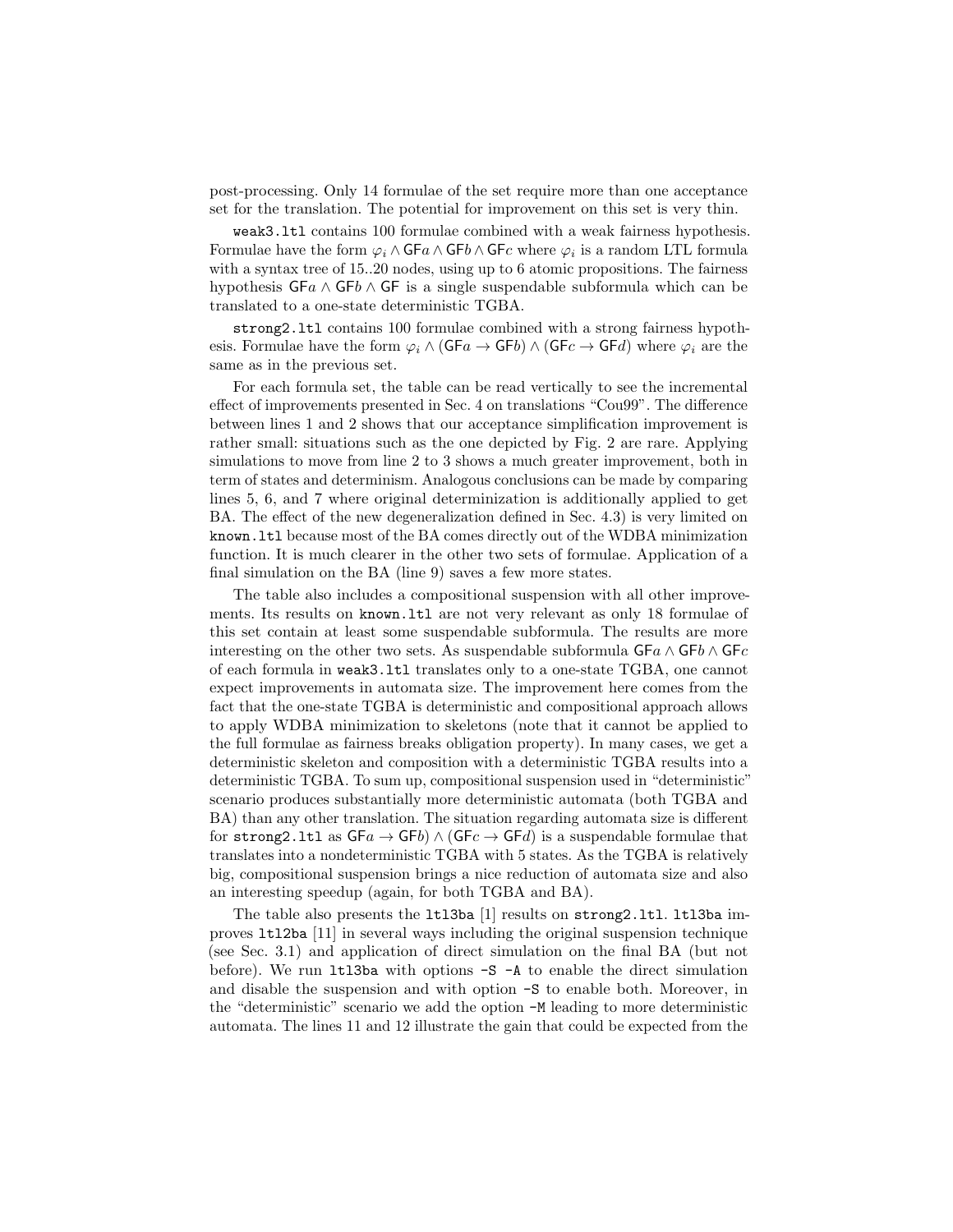post-processing. Only 14 formulae of the set require more than one acceptance set for the translation. The potential for improvement on this set is very thin.

weak3.ltl contains 100 formulae combined with a weak fairness hypothesis. Formulae have the form  $\varphi_i \wedge \mathsf{GF} a \wedge \mathsf{GF} b \wedge \mathsf{GF} c$  where  $\varphi_i$  is a random LTL formula with a syntax tree of 15..20 nodes, using up to 6 atomic propositions. The fairness hypothesis  $GFa \wedge GFb \wedge GF$  is a single suspendable subformula which can be translated to a one-state deterministic TGBA.

strong2.ltl contains 100 formulae combined with a strong fairness hypothesis. Formulae have the form  $\varphi_i \wedge (\mathsf{GF}a \to \mathsf{GF}b) \wedge (\mathsf{GF}c \to \mathsf{GF}d)$  where  $\varphi_i$  are the same as in the previous set.

For each formula set, the table can be read vertically to see the incremental effect of improvements presented in Sec. 4 on translations "Cou99". The difference between lines 1 and 2 shows that our acceptance simplification improvement is rather small: situations such as the one depicted by Fig. 2 are rare. Applying simulations to move from line 2 to 3 shows a much greater improvement, both in term of states and determinism. Analogous conclusions can be made by comparing lines 5, 6, and 7 where original determinization is additionally applied to get BA. The effect of the new degeneralization defined in Sec. 4.3) is very limited on known.ltl because most of the BA comes directly out of the WDBA minimization function. It is much clearer in the other two sets of formulae. Application of a final simulation on the BA (line 9) saves a few more states.

The table also includes a compositional suspension with all other improvements. Its results on known.ltl are not very relevant as only 18 formulae of this set contain at least some suspendable subformula. The results are more interesting on the other two sets. As suspendable subformula  $GFa \wedge GFo \wedge GFc$ of each formula in weak3.ltl translates only to a one-state TGBA, one cannot expect improvements in automata size. The improvement here comes from the fact that the one-state TGBA is deterministic and compositional approach allows to apply WDBA minimization to skeletons (note that it cannot be applied to the full formulae as fairness breaks obligation property). In many cases, we get a deterministic skeleton and composition with a deterministic TGBA results into a deterministic TGBA. To sum up, compositional suspension used in "deterministic" scenario produces substantially more deterministic automata (both TGBA and BA) than any other translation. The situation regarding automata size is different for strong 2.1tl as  $\mathsf{G}F_a \to \mathsf{G}F_b$  \  $\land$   $(\mathsf{G}F_c \to \mathsf{G}F_d)$  is a suspendable formulae that translates into a nondeterministic TGBA with 5 states. As the TGBA is relatively big, compositional suspension brings a nice reduction of automata size and also an interesting speedup (again, for both TGBA and BA).

The table also presents the 1t13ba [1] results on strong2.1tl. 1t13ba improves ltl2ba [11] in several ways including the original suspension technique (see Sec. 3.1) and application of direct simulation on the final BA (but not before). We run 1t13ba with options  $-S$  -A to enable the direct simulation and disable the suspension and with option -S to enable both. Moreover, in the "deterministic" scenario we add the option -M leading to more deterministic automata. The lines 11 and 12 illustrate the gain that could be expected from the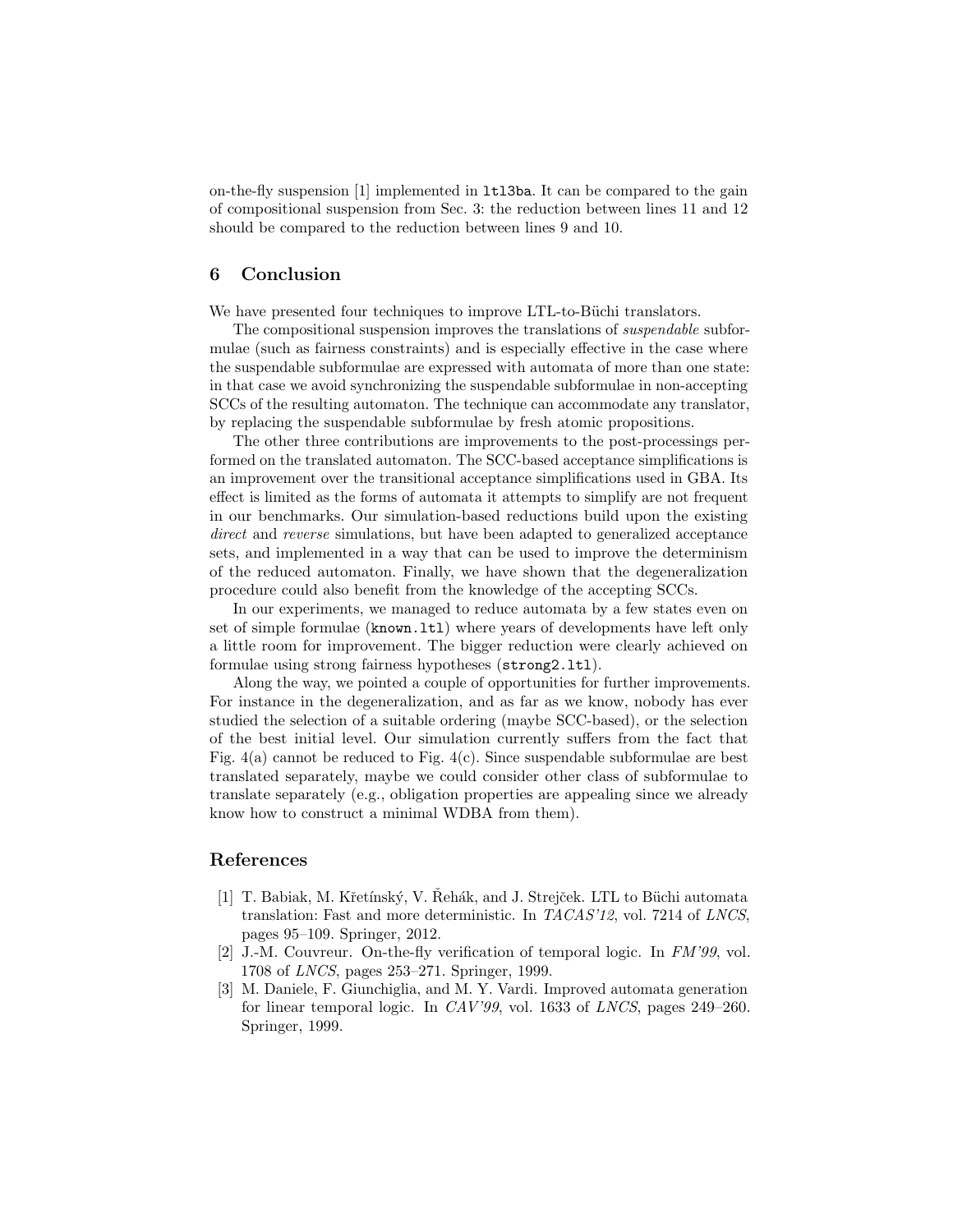on-the-fly suspension [1] implemented in ltl3ba. It can be compared to the gain of compositional suspension from Sec. 3: the reduction between lines 11 and 12 should be compared to the reduction between lines 9 and 10.

# 6 Conclusion

We have presented four techniques to improve LTL-to-Büchi translators.

The compositional suspension improves the translations of suspendable subformulae (such as fairness constraints) and is especially effective in the case where the suspendable subformulae are expressed with automata of more than one state: in that case we avoid synchronizing the suspendable subformulae in non-accepting SCCs of the resulting automaton. The technique can accommodate any translator, by replacing the suspendable subformulae by fresh atomic propositions.

The other three contributions are improvements to the post-processings performed on the translated automaton. The SCC-based acceptance simplifications is an improvement over the transitional acceptance simplifications used in GBA. Its effect is limited as the forms of automata it attempts to simplify are not frequent in our benchmarks. Our simulation-based reductions build upon the existing direct and reverse simulations, but have been adapted to generalized acceptance sets, and implemented in a way that can be used to improve the determinism of the reduced automaton. Finally, we have shown that the degeneralization procedure could also benefit from the knowledge of the accepting SCCs.

In our experiments, we managed to reduce automata by a few states even on set of simple formulae (known.ltl) where years of developments have left only a little room for improvement. The bigger reduction were clearly achieved on formulae using strong fairness hypotheses (strong2.ltl).

Along the way, we pointed a couple of opportunities for further improvements. For instance in the degeneralization, and as far as we know, nobody has ever studied the selection of a suitable ordering (maybe SCC-based), or the selection of the best initial level. Our simulation currently suffers from the fact that Fig.  $4(a)$  cannot be reduced to Fig.  $4(c)$ . Since suspendable subformulae are best translated separately, maybe we could consider other class of subformulae to translate separately (e.g., obligation properties are appealing since we already know how to construct a minimal WDBA from them).

# References

- [1] T. Babiak, M. Křetínský, V. Řehák, and J. Strejček. LTL to Büchi automata translation: Fast and more deterministic. In TACAS'12, vol. 7214 of LNCS, pages 95–109. Springer, 2012.
- [2] J.-M. Couvreur. On-the-fly verification of temporal logic. In FM'99, vol. 1708 of LNCS, pages 253–271. Springer, 1999.
- [3] M. Daniele, F. Giunchiglia, and M. Y. Vardi. Improved automata generation for linear temporal logic. In CAV'99, vol. 1633 of LNCS, pages 249–260. Springer, 1999.